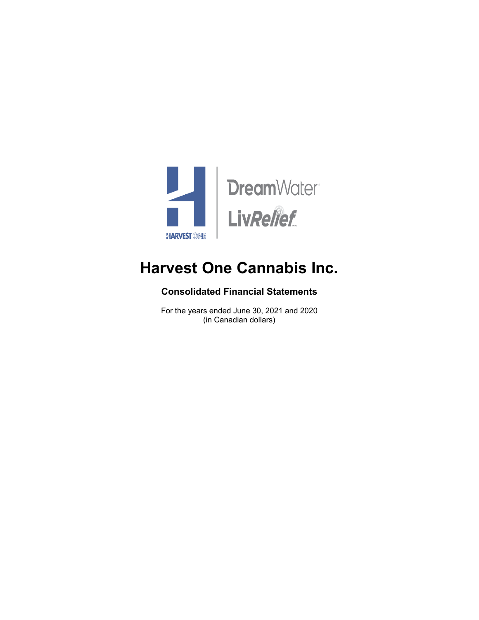

## **Consolidated Financial Statements**

For the years ended June 30, 2021 and 2020 (in Canadian dollars)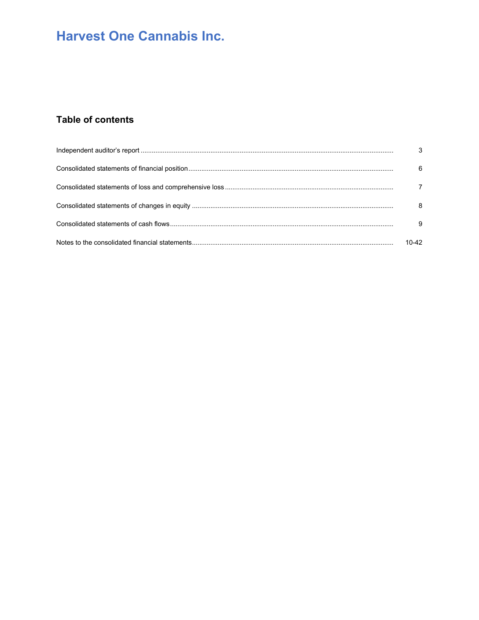## **Table of contents**

| 3         |
|-----------|
| 6         |
|           |
| 8         |
| -9        |
| $10 - 42$ |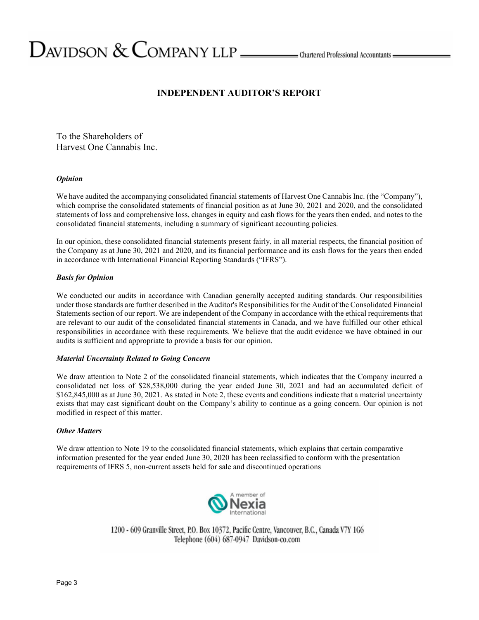## **INDEPENDENT AUDITOR'S REPORT**

To the Shareholders of Harvest One Cannabis Inc.

## *Opinion*

We have audited the accompanying consolidated financial statements of Harvest One Cannabis Inc. (the "Company"), which comprise the consolidated statements of financial position as at June 30, 2021 and 2020, and the consolidated statements of loss and comprehensive loss, changes in equity and cash flows for the years then ended, and notes to the consolidated financial statements, including a summary of significant accounting policies.

In our opinion, these consolidated financial statements present fairly, in all material respects, the financial position of the Company as at June 30, 2021 and 2020, and its financial performance and its cash flows for the years then ended in accordance with International Financial Reporting Standards ("IFRS").

## *Basis for Opinion*

We conducted our audits in accordance with Canadian generally accepted auditing standards. Our responsibilities under those standards are further described in the Auditor's Responsibilities for the Audit of the Consolidated Financial Statements section of our report. We are independent of the Company in accordance with the ethical requirements that are relevant to our audit of the consolidated financial statements in Canada, and we have fulfilled our other ethical responsibilities in accordance with these requirements. We believe that the audit evidence we have obtained in our audits is sufficient and appropriate to provide a basis for our opinion.

## *Material Uncertainty Related to Going Concern*

We draw attention to Note 2 of the consolidated financial statements, which indicates that the Company incurred a consolidated net loss of \$28,538,000 during the year ended June 30, 2021 and had an accumulated deficit of \$162,845,000 as at June 30, 2021. As stated in Note 2, these events and conditions indicate that a material uncertainty exists that may cast significant doubt on the Company's ability to continue as a going concern. Our opinion is not modified in respect of this matter.

## *Other Matters*

We draw attention to Note 19 to the consolidated financial statements, which explains that certain comparative information presented for the year ended June 30, 2020 has been reclassified to conform with the presentation requirements of IFRS 5, non-current assets held for sale and discontinued operations



1200 - 609 Granville Street, P.O. Box 10372, Pacific Centre, Vancouver, B.C., Canada V7Y 1G6 Telephone (604) 687-0947 Davidson-co.com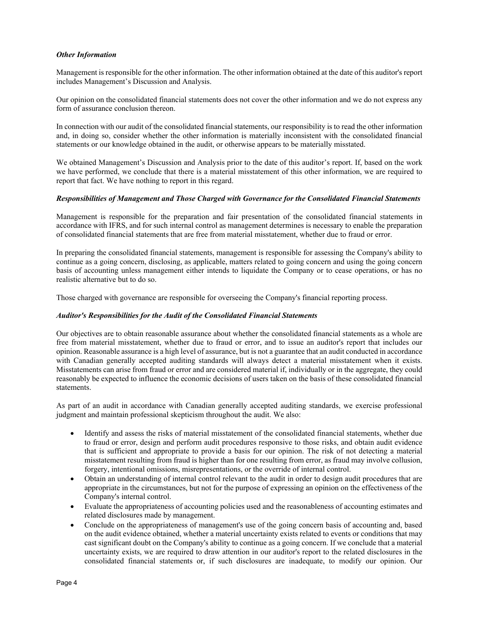## *Other Information*

Management is responsible for the other information. The other information obtained at the date of this auditor's report includes Management's Discussion and Analysis.

Our opinion on the consolidated financial statements does not cover the other information and we do not express any form of assurance conclusion thereon.

In connection with our audit of the consolidated financial statements, our responsibility is to read the other information and, in doing so, consider whether the other information is materially inconsistent with the consolidated financial statements or our knowledge obtained in the audit, or otherwise appears to be materially misstated.

We obtained Management's Discussion and Analysis prior to the date of this auditor's report. If, based on the work we have performed, we conclude that there is a material misstatement of this other information, we are required to report that fact. We have nothing to report in this regard.

## *Responsibilities of Management and Those Charged with Governance for the Consolidated Financial Statements*

Management is responsible for the preparation and fair presentation of the consolidated financial statements in accordance with IFRS, and for such internal control as management determines is necessary to enable the preparation of consolidated financial statements that are free from material misstatement, whether due to fraud or error.

In preparing the consolidated financial statements, management is responsible for assessing the Company's ability to continue as a going concern, disclosing, as applicable, matters related to going concern and using the going concern basis of accounting unless management either intends to liquidate the Company or to cease operations, or has no realistic alternative but to do so.

Those charged with governance are responsible for overseeing the Company's financial reporting process.

## *Auditor's Responsibilities for the Audit of the Consolidated Financial Statements*

Our objectives are to obtain reasonable assurance about whether the consolidated financial statements as a whole are free from material misstatement, whether due to fraud or error, and to issue an auditor's report that includes our opinion. Reasonable assurance is a high level of assurance, but is not a guarantee that an audit conducted in accordance with Canadian generally accepted auditing standards will always detect a material misstatement when it exists. Misstatements can arise from fraud or error and are considered material if, individually or in the aggregate, they could reasonably be expected to influence the economic decisions of users taken on the basis of these consolidated financial statements.

As part of an audit in accordance with Canadian generally accepted auditing standards, we exercise professional judgment and maintain professional skepticism throughout the audit. We also:

- Identify and assess the risks of material misstatement of the consolidated financial statements, whether due to fraud or error, design and perform audit procedures responsive to those risks, and obtain audit evidence that is sufficient and appropriate to provide a basis for our opinion. The risk of not detecting a material misstatement resulting from fraud is higher than for one resulting from error, as fraud may involve collusion, forgery, intentional omissions, misrepresentations, or the override of internal control.
- Obtain an understanding of internal control relevant to the audit in order to design audit procedures that are appropriate in the circumstances, but not for the purpose of expressing an opinion on the effectiveness of the Company's internal control.
- Evaluate the appropriateness of accounting policies used and the reasonableness of accounting estimates and related disclosures made by management.
- Conclude on the appropriateness of management's use of the going concern basis of accounting and, based on the audit evidence obtained, whether a material uncertainty exists related to events or conditions that may cast significant doubt on the Company's ability to continue as a going concern. If we conclude that a material uncertainty exists, we are required to draw attention in our auditor's report to the related disclosures in the consolidated financial statements or, if such disclosures are inadequate, to modify our opinion. Our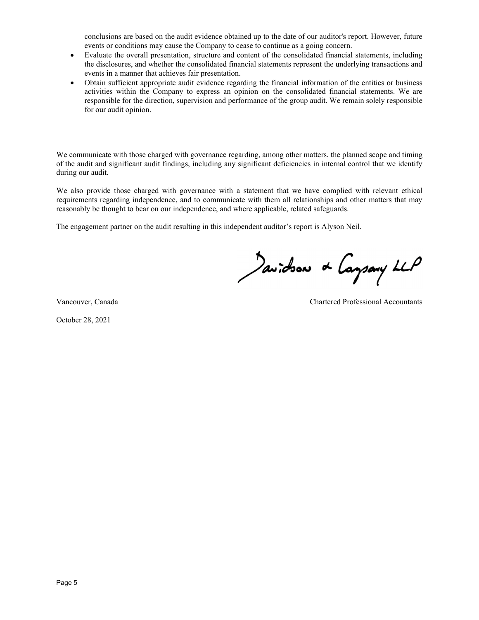conclusions are based on the audit evidence obtained up to the date of our auditor's report. However, future events or conditions may cause the Company to cease to continue as a going concern.

- Evaluate the overall presentation, structure and content of the consolidated financial statements, including the disclosures, and whether the consolidated financial statements represent the underlying transactions and events in a manner that achieves fair presentation.
- Obtain sufficient appropriate audit evidence regarding the financial information of the entities or business activities within the Company to express an opinion on the consolidated financial statements. We are responsible for the direction, supervision and performance of the group audit. We remain solely responsible for our audit opinion.

We communicate with those charged with governance regarding, among other matters, the planned scope and timing of the audit and significant audit findings, including any significant deficiencies in internal control that we identify during our audit.

We also provide those charged with governance with a statement that we have complied with relevant ethical requirements regarding independence, and to communicate with them all relationships and other matters that may reasonably be thought to bear on our independence, and where applicable, related safeguards.

The engagement partner on the audit resulting in this independent auditor's report is Alyson Neil.

Javidson & Caysary LLP

October 28, 2021

Vancouver, Canada Chartered Professional Accountants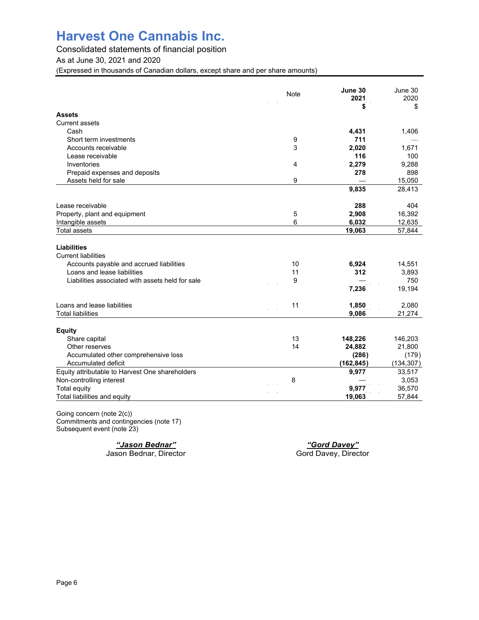Consolidated statements of financial position

As at June 30, 2021 and 2020

(Expressed in thousands of Canadian dollars, except share and per share amounts)

|                                                  | <b>Note</b> | June 30<br>2021 | June 30<br>2020 |
|--------------------------------------------------|-------------|-----------------|-----------------|
| <b>Assets</b>                                    |             | \$              | \$              |
| <b>Current assets</b>                            |             |                 |                 |
| Cash                                             |             | 4,431           | 1,406           |
| Short term investments                           | 9           | 711             |                 |
| Accounts receivable                              | 3           | 2,020           | 1,671           |
| Lease receivable                                 |             | 116             | 100             |
| Inventories                                      | 4           | 2,279           | 9,288           |
| Prepaid expenses and deposits                    |             | 278             | 898             |
| Assets held for sale                             | 9           |                 | 15,050          |
|                                                  |             | 9,835           | 28,413          |
| Lease receivable                                 |             | 288             | 404             |
| Property, plant and equipment                    | 5           | 2,908           | 16,392          |
| Intangible assets                                | 6           | 6,032           | 12,635          |
| <b>Total assets</b>                              |             | 19,063          | 57,844          |
| <b>Liabilities</b>                               |             |                 |                 |
| <b>Current liabilities</b>                       |             |                 |                 |
| Accounts payable and accrued liabilities         | 10          | 6,924           | 14,551          |
| Loans and lease liabilities                      | 11          | 312             | 3,893           |
| Liabilities associated with assets held for sale | 9           |                 | 750             |
|                                                  |             | 7,236           | 19,194          |
| Loans and lease liabilities                      | 11          | 1,850           | 2,080           |
| <b>Total liabilities</b>                         |             | 9,086           | 21,274          |
| <b>Equity</b>                                    |             |                 |                 |
| Share capital                                    | 13          | 148,226         | 146,203         |
| Other reserves                                   | 14          | 24,882          | 21,800          |
| Accumulated other comprehensive loss             |             | (286)           | (179)           |
| Accumulated deficit                              |             | (162, 845)      | (134, 307)      |
| Equity attributable to Harvest One shareholders  |             | 9,977           | 33,517          |
| Non-controlling interest                         | 8           |                 | 3,053           |
| <b>Total equity</b>                              |             | 9,977           | 36,570          |
| Total liabilities and equity                     |             | 19,063          | 57,844          |

Going concern (note 2(c)) Commitments and contingencies (note 17) Subsequent event (note 23)

Jason Bednar, Director

*"Jason Bednar" "Gord Davey"*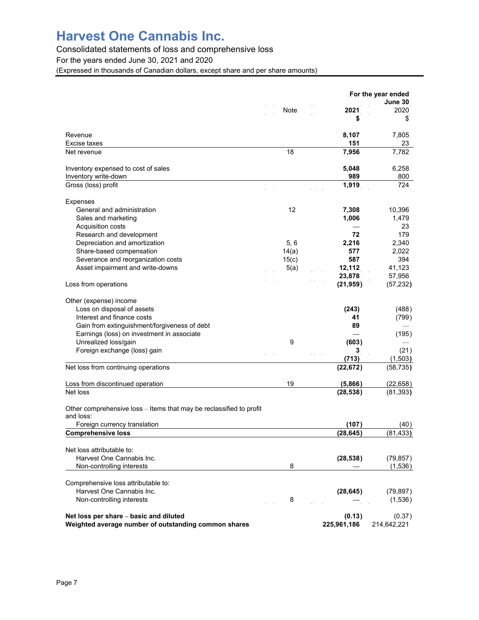Consolidated statements of loss and comprehensive loss

For the years ended June 30, 2021 and 2020

(Expressed in thousands of Canadian dollars, except share and per share amounts)

| 2021<br>Note<br>\$<br>Revenue<br>8,107<br>151<br>Excise taxes<br>18<br>7,956<br>Net revenue<br>Inventory expensed to cost of sales<br>5,048<br>Inventory write-down<br>989<br>Gross (loss) profit<br>1,919<br><b>Expenses</b><br>12<br>General and administration<br>7,308<br>Sales and marketing<br>1,006<br>Acquisition costs<br>72<br>Research and development<br>Depreciation and amortization<br>5, 6<br>2,216<br>Share-based compensation<br>14(a)<br>577<br>Severance and reorganization costs<br>15(c)<br>587<br>Asset impairment and write-downs<br>5(a)<br>12,112<br>23,878<br>(21, 959)<br>Loss from operations<br>Other (expense) income<br>Loss on disposal of assets<br>(243)<br>Interest and finance costs<br>41<br>89<br>Gain from extinguishment/forgiveness of debt<br>Earnings (loss) on investment in associate<br>Unrealized loss/gain<br>9<br>(603)<br>Foreign exchange (loss) gain<br>3<br>(713)<br>Net loss from continuing operations<br>(22, 672)<br>19<br>Loss from discontinued operation<br>(5,866)<br>Net loss<br>(28, 538) | June 30<br>2020<br>\$<br>7,805<br>23<br>7,782<br>6,258<br>800<br>724<br>10,396 |
|-----------------------------------------------------------------------------------------------------------------------------------------------------------------------------------------------------------------------------------------------------------------------------------------------------------------------------------------------------------------------------------------------------------------------------------------------------------------------------------------------------------------------------------------------------------------------------------------------------------------------------------------------------------------------------------------------------------------------------------------------------------------------------------------------------------------------------------------------------------------------------------------------------------------------------------------------------------------------------------------------------------------------------------------------------------|--------------------------------------------------------------------------------|
|                                                                                                                                                                                                                                                                                                                                                                                                                                                                                                                                                                                                                                                                                                                                                                                                                                                                                                                                                                                                                                                           |                                                                                |
|                                                                                                                                                                                                                                                                                                                                                                                                                                                                                                                                                                                                                                                                                                                                                                                                                                                                                                                                                                                                                                                           |                                                                                |
|                                                                                                                                                                                                                                                                                                                                                                                                                                                                                                                                                                                                                                                                                                                                                                                                                                                                                                                                                                                                                                                           |                                                                                |
|                                                                                                                                                                                                                                                                                                                                                                                                                                                                                                                                                                                                                                                                                                                                                                                                                                                                                                                                                                                                                                                           |                                                                                |
|                                                                                                                                                                                                                                                                                                                                                                                                                                                                                                                                                                                                                                                                                                                                                                                                                                                                                                                                                                                                                                                           |                                                                                |
|                                                                                                                                                                                                                                                                                                                                                                                                                                                                                                                                                                                                                                                                                                                                                                                                                                                                                                                                                                                                                                                           |                                                                                |
|                                                                                                                                                                                                                                                                                                                                                                                                                                                                                                                                                                                                                                                                                                                                                                                                                                                                                                                                                                                                                                                           |                                                                                |
|                                                                                                                                                                                                                                                                                                                                                                                                                                                                                                                                                                                                                                                                                                                                                                                                                                                                                                                                                                                                                                                           |                                                                                |
|                                                                                                                                                                                                                                                                                                                                                                                                                                                                                                                                                                                                                                                                                                                                                                                                                                                                                                                                                                                                                                                           |                                                                                |
|                                                                                                                                                                                                                                                                                                                                                                                                                                                                                                                                                                                                                                                                                                                                                                                                                                                                                                                                                                                                                                                           |                                                                                |
|                                                                                                                                                                                                                                                                                                                                                                                                                                                                                                                                                                                                                                                                                                                                                                                                                                                                                                                                                                                                                                                           | 1,479                                                                          |
|                                                                                                                                                                                                                                                                                                                                                                                                                                                                                                                                                                                                                                                                                                                                                                                                                                                                                                                                                                                                                                                           | 23                                                                             |
|                                                                                                                                                                                                                                                                                                                                                                                                                                                                                                                                                                                                                                                                                                                                                                                                                                                                                                                                                                                                                                                           | 179                                                                            |
|                                                                                                                                                                                                                                                                                                                                                                                                                                                                                                                                                                                                                                                                                                                                                                                                                                                                                                                                                                                                                                                           | 2,340                                                                          |
|                                                                                                                                                                                                                                                                                                                                                                                                                                                                                                                                                                                                                                                                                                                                                                                                                                                                                                                                                                                                                                                           | 2,022                                                                          |
|                                                                                                                                                                                                                                                                                                                                                                                                                                                                                                                                                                                                                                                                                                                                                                                                                                                                                                                                                                                                                                                           | 394                                                                            |
|                                                                                                                                                                                                                                                                                                                                                                                                                                                                                                                                                                                                                                                                                                                                                                                                                                                                                                                                                                                                                                                           | 41,123                                                                         |
|                                                                                                                                                                                                                                                                                                                                                                                                                                                                                                                                                                                                                                                                                                                                                                                                                                                                                                                                                                                                                                                           | 57,956                                                                         |
|                                                                                                                                                                                                                                                                                                                                                                                                                                                                                                                                                                                                                                                                                                                                                                                                                                                                                                                                                                                                                                                           | (57, 232)                                                                      |
|                                                                                                                                                                                                                                                                                                                                                                                                                                                                                                                                                                                                                                                                                                                                                                                                                                                                                                                                                                                                                                                           |                                                                                |
|                                                                                                                                                                                                                                                                                                                                                                                                                                                                                                                                                                                                                                                                                                                                                                                                                                                                                                                                                                                                                                                           | (488)                                                                          |
|                                                                                                                                                                                                                                                                                                                                                                                                                                                                                                                                                                                                                                                                                                                                                                                                                                                                                                                                                                                                                                                           | (799)                                                                          |
|                                                                                                                                                                                                                                                                                                                                                                                                                                                                                                                                                                                                                                                                                                                                                                                                                                                                                                                                                                                                                                                           |                                                                                |
|                                                                                                                                                                                                                                                                                                                                                                                                                                                                                                                                                                                                                                                                                                                                                                                                                                                                                                                                                                                                                                                           | (195)                                                                          |
|                                                                                                                                                                                                                                                                                                                                                                                                                                                                                                                                                                                                                                                                                                                                                                                                                                                                                                                                                                                                                                                           |                                                                                |
|                                                                                                                                                                                                                                                                                                                                                                                                                                                                                                                                                                                                                                                                                                                                                                                                                                                                                                                                                                                                                                                           | (21)                                                                           |
|                                                                                                                                                                                                                                                                                                                                                                                                                                                                                                                                                                                                                                                                                                                                                                                                                                                                                                                                                                                                                                                           | (1,503)                                                                        |
|                                                                                                                                                                                                                                                                                                                                                                                                                                                                                                                                                                                                                                                                                                                                                                                                                                                                                                                                                                                                                                                           | (58, 735)                                                                      |
|                                                                                                                                                                                                                                                                                                                                                                                                                                                                                                                                                                                                                                                                                                                                                                                                                                                                                                                                                                                                                                                           | (22, 658)                                                                      |
|                                                                                                                                                                                                                                                                                                                                                                                                                                                                                                                                                                                                                                                                                                                                                                                                                                                                                                                                                                                                                                                           | (81, 393)                                                                      |
| Other comprehensive loss – Items that may be reclassified to profit                                                                                                                                                                                                                                                                                                                                                                                                                                                                                                                                                                                                                                                                                                                                                                                                                                                                                                                                                                                       |                                                                                |
| and loss:                                                                                                                                                                                                                                                                                                                                                                                                                                                                                                                                                                                                                                                                                                                                                                                                                                                                                                                                                                                                                                                 |                                                                                |
| Foreign currency translation<br>(107)                                                                                                                                                                                                                                                                                                                                                                                                                                                                                                                                                                                                                                                                                                                                                                                                                                                                                                                                                                                                                     | (40)                                                                           |
| <b>Comprehensive loss</b><br>(28, 645)                                                                                                                                                                                                                                                                                                                                                                                                                                                                                                                                                                                                                                                                                                                                                                                                                                                                                                                                                                                                                    | (81, 433)                                                                      |
| Net loss attributable to:                                                                                                                                                                                                                                                                                                                                                                                                                                                                                                                                                                                                                                                                                                                                                                                                                                                                                                                                                                                                                                 |                                                                                |
| Harvest One Cannabis Inc.<br>(28, 538)                                                                                                                                                                                                                                                                                                                                                                                                                                                                                                                                                                                                                                                                                                                                                                                                                                                                                                                                                                                                                    | (79, 857)                                                                      |
| 8<br>Non-controlling interests                                                                                                                                                                                                                                                                                                                                                                                                                                                                                                                                                                                                                                                                                                                                                                                                                                                                                                                                                                                                                            | (1,536)                                                                        |
| Comprehensive loss attributable to:                                                                                                                                                                                                                                                                                                                                                                                                                                                                                                                                                                                                                                                                                                                                                                                                                                                                                                                                                                                                                       |                                                                                |
| Harvest One Cannabis Inc.<br>(28, 645)                                                                                                                                                                                                                                                                                                                                                                                                                                                                                                                                                                                                                                                                                                                                                                                                                                                                                                                                                                                                                    | (79, 897)                                                                      |
| 8<br>Non-controlling interests                                                                                                                                                                                                                                                                                                                                                                                                                                                                                                                                                                                                                                                                                                                                                                                                                                                                                                                                                                                                                            | (1,536)                                                                        |
| (0.13)<br>Net loss per share - basic and diluted<br>Weighted average number of outstanding common shares<br>225,961,186<br>214,642,221                                                                                                                                                                                                                                                                                                                                                                                                                                                                                                                                                                                                                                                                                                                                                                                                                                                                                                                    | (0.37)                                                                         |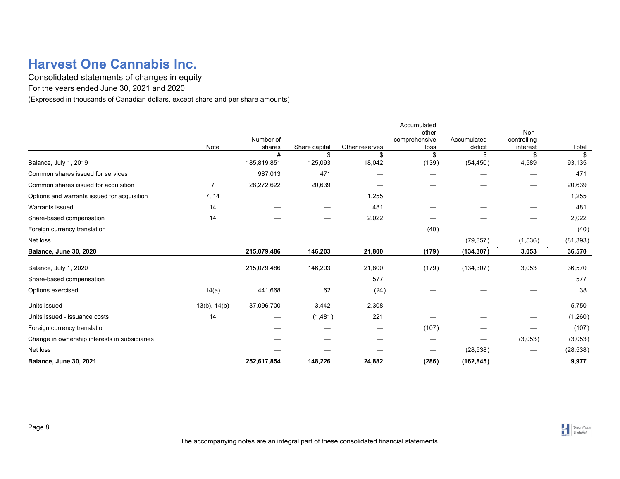Consolidated statements of changes in equity

For the years ended June 30, 2021 and 2020

(Expressed in thousands of Canadian dollars, except share and per share amounts)

|                                               |                   |                  |               |                | Accumulated   |             |             |              |
|-----------------------------------------------|-------------------|------------------|---------------|----------------|---------------|-------------|-------------|--------------|
|                                               |                   |                  |               |                | other         |             | Non-        |              |
|                                               |                   | Number of        |               | Other reserves | comprehensive | Accumulated | controlling |              |
|                                               | Note              | shares           | Share capital | \$             | loss          | deficit     | interest    | Total        |
| Balance, July 1, 2019                         |                   | #<br>185,819,851 | \$<br>125,093 | 18,042         | \$<br>(139)   | (54, 450)   | S<br>4,589  | \$<br>93,135 |
| Common shares issued for services             |                   | 987,013          | 471           |                |               |             |             | 471          |
| Common shares issued for acquisition          | 7                 | 28,272,622       | 20,639        |                |               |             |             | 20,639       |
| Options and warrants issued for acquisition   | 7, 14             |                  |               | 1,255          |               |             |             | 1,255        |
| Warrants issued                               | 14                |                  |               | 481            |               |             |             | 481          |
| Share-based compensation                      | 14                |                  |               | 2,022          |               |             | -           | 2,022        |
| Foreign currency translation                  |                   |                  |               |                | (40)          |             |             | (40)         |
| Net loss                                      |                   |                  |               |                |               | (79, 857)   | (1,536)     | (81, 393)    |
| <b>Balance, June 30, 2020</b>                 |                   | 215,079,486      | 146,203       | 21,800         | (179)         | (134, 307)  | 3,053       | 36,570       |
| Balance, July 1, 2020                         |                   | 215,079,486      | 146,203       | 21,800         | (179)         | (134, 307)  | 3,053       | 36,570       |
| Share-based compensation                      |                   |                  |               | 577            |               |             |             | 577          |
| Options exercised                             | 14(a)             | 441,668          | 62            | (24)           |               |             |             | 38           |
| Units issued                                  | $13(b)$ , $14(b)$ | 37,096,700       | 3,442         | 2,308          |               |             | -           | 5,750        |
| Units issued - issuance costs                 | 14                |                  | (1,481)       | 221            |               |             |             | (1,260)      |
| Foreign currency translation                  |                   |                  |               |                | (107)         |             |             | (107)        |
| Change in ownership interests in subsidiaries |                   |                  |               |                |               |             | (3,053)     | (3,053)      |
| Net loss                                      |                   |                  |               |                |               | (28, 538)   |             | (28, 538)    |
| <b>Balance, June 30, 2021</b>                 |                   | 252,617,854      | 148,226       | 24,882         | (286)         | (162, 845)  |             | 9,977        |

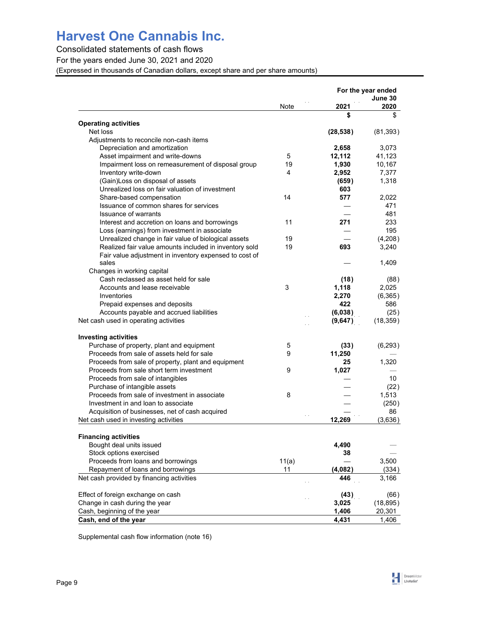## Consolidated statements of cash flows

For the years ended June 30, 2021 and 2020

(Expressed in thousands of Canadian dollars, except share and per share amounts)

|                                                        |       |           | For the year ended |
|--------------------------------------------------------|-------|-----------|--------------------|
|                                                        | Note  | 2021      | June 30<br>2020    |
|                                                        |       | \$        | \$                 |
| <b>Operating activities</b>                            |       |           |                    |
| Net loss                                               |       | (28, 538) | (81, 393)          |
| Adjustments to reconcile non-cash items                |       |           |                    |
| Depreciation and amortization                          |       | 2,658     | 3,073              |
| Asset impairment and write-downs                       | 5     | 12,112    | 41,123             |
| Impairment loss on remeasurement of disposal group     | 19    | 1,930     | 10,167             |
| Inventory write-down                                   | 4     | 2,952     | 7,377              |
| (Gain) Loss on disposal of assets                      |       | (659)     | 1,318              |
| Unrealized loss on fair valuation of investment        |       | 603       |                    |
| Share-based compensation                               | 14    | 577       | 2,022              |
| Issuance of common shares for services                 |       |           | 471                |
| <b>Issuance of warrants</b>                            |       |           | 481                |
| Interest and accretion on loans and borrowings         | 11    | 271       | 233                |
| Loss (earnings) from investment in associate           |       |           | 195                |
| Unrealized change in fair value of biological assets   | 19    |           | (4,208)            |
| Realized fair value amounts included in inventory sold | 19    | 693       | 3,240              |
| Fair value adjustment in inventory expensed to cost of |       |           |                    |
| sales                                                  |       |           | 1.409              |
| Changes in working capital                             |       |           |                    |
| Cash reclassed as asset held for sale                  |       | (18)      | (88)               |
| Accounts and lease receivable                          | 3     | 1,118     | 2,025              |
| Inventories                                            |       | 2,270     | (6,365)            |
| Prepaid expenses and deposits                          |       | 422       | 586                |
| Accounts payable and accrued liabilities               |       | (6,038)   | (25)               |
| Net cash used in operating activities                  |       | (9,647)   | (18, 359)          |
|                                                        |       |           |                    |
| <b>Investing activities</b>                            |       |           |                    |
| Purchase of property, plant and equipment              | 5     | (33)      | (6, 293)           |
| Proceeds from sale of assets held for sale             | 9     | 11,250    |                    |
| Proceeds from sale of property, plant and equipment    |       | 25        | 1,320              |
| Proceeds from sale short term investment               | 9     | 1,027     |                    |
| Proceeds from sale of intangibles                      |       |           | 10                 |
| Purchase of intangible assets                          |       |           | (22)               |
| Proceeds from sale of investment in associate          | 8     |           | 1,513              |
| Investment in and loan to associate                    |       |           | (250)              |
| Acquisition of businesses, net of cash acquired        |       |           | 86                 |
| Net cash used in investing activities                  |       | 12,269    | (3,636)            |
| <b>Financing activities</b>                            |       |           |                    |
|                                                        |       |           |                    |
| Bought deal units issued                               |       | 4,490     |                    |
| Stock options exercised                                |       | 38        |                    |
| Proceeds from loans and borrowings                     | 11(a) |           | 3,500              |
| Repayment of loans and borrowings                      | 11    | (4,082)   | (334)              |
| Net cash provided by financing activities              |       | 446       | 3,166              |
| Effect of foreign exchange on cash                     |       | (43)      | (66)               |
| Change in cash during the year                         |       | 3,025     | (18, 895)          |
| Cash, beginning of the year                            |       | 1,406     | 20,301             |
| Cash, end of the year                                  |       | 4,431     | 1,406              |

Supplemental cash flow information (note 16)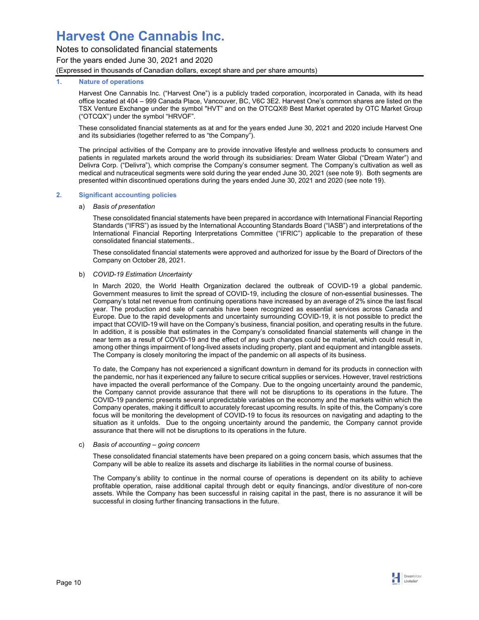## Notes to consolidated financial statements For the years ended June 30, 2021 and 2020

(Expressed in thousands of Canadian dollars, except share and per share amounts)

## **1. Nature of operations**

Harvest One Cannabis Inc. ("Harvest One") is a publicly traded corporation, incorporated in Canada, with its head office located at 404 – 999 Canada Place, Vancouver, BC, V6C 3E2. Harvest One's common shares are listed on the TSX Venture Exchange under the symbol "HVT" and on the OTCQX® Best Market operated by OTC Market Group ("OTCQX") under the symbol "HRVOF".

These consolidated financial statements as at and for the years ended June 30, 2021 and 2020 include Harvest One and its subsidiaries (together referred to as "the Company").

The principal activities of the Company are to provide innovative lifestyle and wellness products to consumers and patients in regulated markets around the world through its subsidiaries: Dream Water Global ("Dream Water") and Delivra Corp. ("Delivra"), which comprise the Company's consumer segment. The Company's cultivation as well as medical and nutraceutical segments were sold during the year ended June 30, 2021 (see note 9). Both segments are presented within discontinued operations during the years ended June 30, 2021 and 2020 (see note 19).

## **2. Significant accounting policies**

a) *Basis of presentation* 

These consolidated financial statements have been prepared in accordance with International Financial Reporting Standards ("IFRS") as issued by the International Accounting Standards Board ("IASB") and interpretations of the International Financial Reporting Interpretations Committee ("IFRIC") applicable to the preparation of these consolidated financial statements..

These consolidated financial statements were approved and authorized for issue by the Board of Directors of the Company on October 28, 2021.

## b) *COVID-19 Estimation Uncertainty*

In March 2020, the World Health Organization declared the outbreak of COVID-19 a global pandemic. Government measures to limit the spread of COVID-19, including the closure of non-essential businesses. The Company's total net revenue from continuing operations have increased by an average of 2% since the last fiscal year. The production and sale of cannabis have been recognized as essential services across Canada and Europe. Due to the rapid developments and uncertainty surrounding COVID-19, it is not possible to predict the impact that COVID-19 will have on the Company's business, financial position, and operating results in the future. In addition, it is possible that estimates in the Company's consolidated financial statements will change in the near term as a result of COVID-19 and the effect of any such changes could be material, which could result in, among other things impairment of long-lived assets including property, plant and equipment and intangible assets. The Company is closely monitoring the impact of the pandemic on all aspects of its business.

To date, the Company has not experienced a significant downturn in demand for its products in connection with the pandemic, nor has it experienced any failure to secure critical supplies or services. However, travel restrictions have impacted the overall performance of the Company. Due to the ongoing uncertainty around the pandemic, the Company cannot provide assurance that there will not be disruptions to its operations in the future. The COVID-19 pandemic presents several unpredictable variables on the economy and the markets within which the Company operates, making it difficult to accurately forecast upcoming results. In spite of this, the Company's core focus will be monitoring the development of COVID-19 to focus its resources on navigating and adapting to the situation as it unfolds. Due to the ongoing uncertainty around the pandemic, the Company cannot provide assurance that there will not be disruptions to its operations in the future.

### c) *Basis of accounting – going concern*

These consolidated financial statements have been prepared on a going concern basis, which assumes that the Company will be able to realize its assets and discharge its liabilities in the normal course of business.

The Company's ability to continue in the normal course of operations is dependent on its ability to achieve profitable operation, raise additional capital through debt or equity financings, and/or divestiture of non-core assets. While the Company has been successful in raising capital in the past, there is no assurance it will be successful in closing further financing transactions in the future.

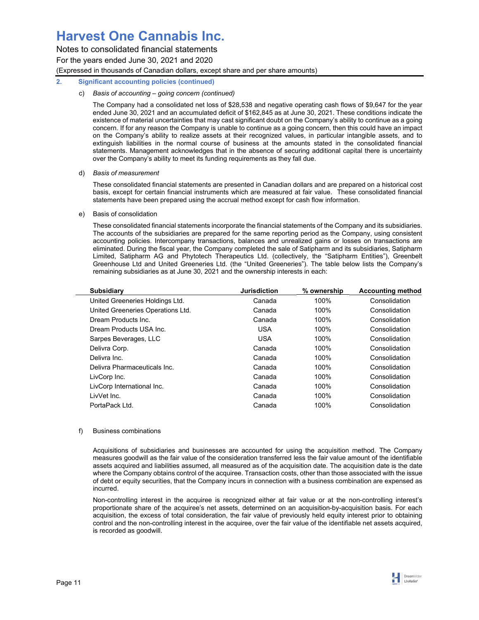Notes to consolidated financial statements

For the years ended June 30, 2021 and 2020

(Expressed in thousands of Canadian dollars, except share and per share amounts)

## **2. Significant accounting policies (continued)**

## c) *Basis of accounting – going concern (continued)*

The Company had a consolidated net loss of \$28,538 and negative operating cash flows of \$9,647 for the year ended June 30, 2021 and an accumulated deficit of \$162,845 as at June 30, 2021. These conditions indicate the existence of material uncertainties that may cast significant doubt on the Company's ability to continue as a going concern. If for any reason the Company is unable to continue as a going concern, then this could have an impact on the Company's ability to realize assets at their recognized values, in particular intangible assets, and to extinguish liabilities in the normal course of business at the amounts stated in the consolidated financial statements. Management acknowledges that in the absence of securing additional capital there is uncertainty over the Company's ability to meet its funding requirements as they fall due.

## d) *Basis of measurement*

These consolidated financial statements are presented in Canadian dollars and are prepared on a historical cost basis, except for certain financial instruments which are measured at fair value. These consolidated financial statements have been prepared using the accrual method except for cash flow information.

## e) Basis of consolidation

These consolidated financial statements incorporate the financial statements of the Company and its subsidiaries. The accounts of the subsidiaries are prepared for the same reporting period as the Company, using consistent accounting policies. Intercompany transactions, balances and unrealized gains or losses on transactions are eliminated. During the fiscal year, the Company completed the sale of Satipharm and its subsidiaries, Satipharm Limited, Satipharm AG and Phytotech Therapeutics Ltd. (collectively, the "Satipharm Entities"), Greenbelt Greenhouse Ltd and United Greeneries Ltd. (the "United Greeneries"). The table below lists the Company's remaining subsidiaries as at June 30, 2021 and the ownership interests in each:

| <b>Subsidiary</b>                 | <b>Jurisdiction</b> | % ownership | <b>Accounting method</b> |
|-----------------------------------|---------------------|-------------|--------------------------|
| United Greeneries Holdings Ltd.   | Canada              | 100%        | Consolidation            |
| United Greeneries Operations Ltd. | Canada              | 100%        | Consolidation            |
| Dream Products Inc.               | Canada              | 100%        | Consolidation            |
| Dream Products USA Inc.           | <b>USA</b>          | 100%        | Consolidation            |
| Sarpes Beverages, LLC             | <b>USA</b>          | 100%        | Consolidation            |
| Delivra Corp.                     | Canada              | 100%        | Consolidation            |
| Delivra Inc.                      | Canada              | 100%        | Consolidation            |
| Delivra Pharmaceuticals Inc.      | Canada              | 100%        | Consolidation            |
| LivCorp Inc.                      | Canada              | 100%        | Consolidation            |
| LivCorp International Inc.        | Canada              | 100%        | Consolidation            |
| LivVet Inc.                       | Canada              | 100%        | Consolidation            |
| PortaPack Ltd.                    | Canada              | 100%        | Consolidation            |
|                                   |                     |             |                          |

## f) Business combinations

Acquisitions of subsidiaries and businesses are accounted for using the acquisition method. The Company measures goodwill as the fair value of the consideration transferred less the fair value amount of the identifiable assets acquired and liabilities assumed, all measured as of the acquisition date. The acquisition date is the date where the Company obtains control of the acquiree. Transaction costs, other than those associated with the issue of debt or equity securities, that the Company incurs in connection with a business combination are expensed as incurred.

Non-controlling interest in the acquiree is recognized either at fair value or at the non-controlling interest's proportionate share of the acquiree's net assets, determined on an acquisition-by-acquisition basis. For each acquisition, the excess of total consideration, the fair value of previously held equity interest prior to obtaining control and the non-controlling interest in the acquiree, over the fair value of the identifiable net assets acquired, is recorded as goodwill.

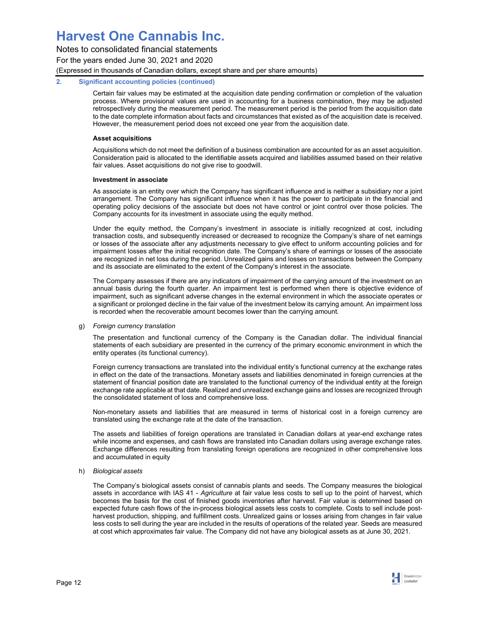Notes to consolidated financial statements For the years ended June 30, 2021 and 2020

(Expressed in thousands of Canadian dollars, except share and per share amounts)

## **2. Significant accounting policies (continued)**

Certain fair values may be estimated at the acquisition date pending confirmation or completion of the valuation process. Where provisional values are used in accounting for a business combination, they may be adjusted retrospectively during the measurement period. The measurement period is the period from the acquisition date to the date complete information about facts and circumstances that existed as of the acquisition date is received. However, the measurement period does not exceed one year from the acquisition date.

## **Asset acquisitions**

Acquisitions which do not meet the definition of a business combination are accounted for as an asset acquisition. Consideration paid is allocated to the identifiable assets acquired and liabilities assumed based on their relative fair values. Asset acquisitions do not give rise to goodwill.

## **Investment in associate**

As associate is an entity over which the Company has significant influence and is neither a subsidiary nor a joint arrangement. The Company has significant influence when it has the power to participate in the financial and operating policy decisions of the associate but does not have control or joint control over those policies. The Company accounts for its investment in associate using the equity method.

Under the equity method, the Company's investment in associate is initially recognized at cost, including transaction costs, and subsequently increased or decreased to recognize the Company's share of net earnings or losses of the associate after any adjustments necessary to give effect to uniform accounting policies and for impairment losses after the initial recognition date. The Company's share of earnings or losses of the associate are recognized in net loss during the period. Unrealized gains and losses on transactions between the Company and its associate are eliminated to the extent of the Company's interest in the associate.

The Company assesses if there are any indicators of impairment of the carrying amount of the investment on an annual basis during the fourth quarter. An impairment test is performed when there is objective evidence of impairment, such as significant adverse changes in the external environment in which the associate operates or a significant or prolonged decline in the fair value of the investment below its carrying amount. An impairment loss is recorded when the recoverable amount becomes lower than the carrying amount.

### g) *Foreign currency translation*

The presentation and functional currency of the Company is the Canadian dollar. The individual financial statements of each subsidiary are presented in the currency of the primary economic environment in which the entity operates (its functional currency).

Foreign currency transactions are translated into the individual entity's functional currency at the exchange rates in effect on the date of the transactions. Monetary assets and liabilities denominated in foreign currencies at the statement of financial position date are translated to the functional currency of the individual entity at the foreign exchange rate applicable at that date. Realized and unrealized exchange gains and losses are recognized through the consolidated statement of loss and comprehensive loss.

Non-monetary assets and liabilities that are measured in terms of historical cost in a foreign currency are translated using the exchange rate at the date of the transaction.

The assets and liabilities of foreign operations are translated in Canadian dollars at year-end exchange rates while income and expenses, and cash flows are translated into Canadian dollars using average exchange rates. Exchange differences resulting from translating foreign operations are recognized in other comprehensive loss and accumulated in equity

## h) *Biological assets*

The Company's biological assets consist of cannabis plants and seeds. The Company measures the biological assets in accordance with IAS 41 - *Agriculture* at fair value less costs to sell up to the point of harvest, which becomes the basis for the cost of finished goods inventories after harvest. Fair value is determined based on expected future cash flows of the in-process biological assets less costs to complete. Costs to sell include postharvest production, shipping, and fulfillment costs. Unrealized gains or losses arising from changes in fair value less costs to sell during the year are included in the results of operations of the related year. Seeds are measured at cost which approximates fair value. The Company did not have any biological assets as at June 30, 2021.

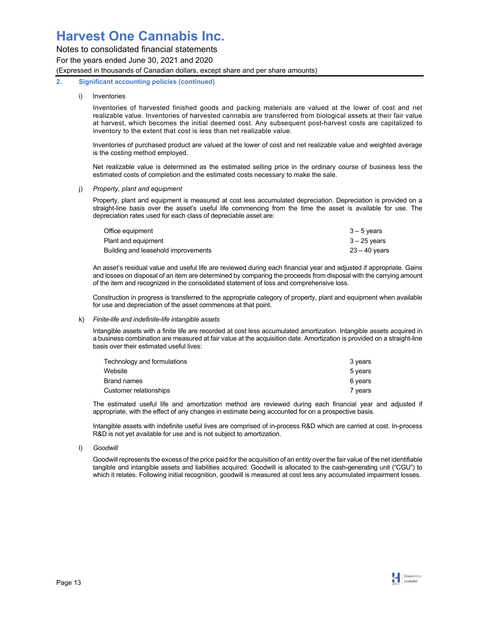Notes to consolidated financial statements

For the years ended June 30, 2021 and 2020

(Expressed in thousands of Canadian dollars, except share and per share amounts)

## **2. Significant accounting policies (continued)**

## i) Inventories

Inventories of harvested finished goods and packing materials are valued at the lower of cost and net realizable value. Inventories of harvested cannabis are transferred from biological assets at their fair value at harvest, which becomes the initial deemed cost. Any subsequent post-harvest costs are capitalized to inventory to the extent that cost is less than net realizable value.

Inventories of purchased product are valued at the lower of cost and net realizable value and weighted average is the costing method employed.

Net realizable value is determined as the estimated selling price in the ordinary course of business less the estimated costs of completion and the estimated costs necessary to make the sale.

## j) *Property, plant and equipment*

Property, plant and equipment is measured at cost less accumulated depreciation. Depreciation is provided on a straight-line basis over the asset's useful life commencing from the time the asset is available for use. The depreciation rates used for each class of depreciable asset are:

| Office equipment                    | $3 - 5$ years  |
|-------------------------------------|----------------|
| Plant and equipment                 | $3 - 25$ vears |
| Building and leasehold improvements | 23 – 40 vears  |

An asset's residual value and useful life are reviewed during each financial year and adjusted if appropriate. Gains and losses on disposal of an item are determined by comparing the proceeds from disposal with the carrying amount of the item and recognized in the consolidated statement of loss and comprehensive loss.

Construction in progress is transferred to the appropriate category of property, plant and equipment when available for use and depreciation of the asset commences at that point.

## k) *Finite-life and indefinite-life intangible assets*

Intangible assets with a finite life are recorded at cost less accumulated amortization. Intangible assets acquired in a business combination are measured at fair value at the acquisition date. Amortization is provided on a straight-line basis over their estimated useful lives:

| Technology and formulations | 3 years |
|-----------------------------|---------|
| Website                     | 5 vears |
| Brand names                 | 6 years |
| Customer relationships      | 7 vears |

The estimated useful life and amortization method are reviewed during each financial year and adjusted if appropriate, with the effect of any changes in estimate being accounted for on a prospective basis.

Intangible assets with indefinite useful lives are comprised of in-process R&D which are carried at cost. In-process R&D is not yet available for use and is not subject to amortization.

l) *Goodwill* 

Goodwill represents the excess of the price paid for the acquisition of an entity over the fair value of the net identifiable tangible and intangible assets and liabilities acquired. Goodwill is allocated to the cash-generating unit ("CGU") to which it relates. Following initial recognition, goodwill is measured at cost less any accumulated impairment losses.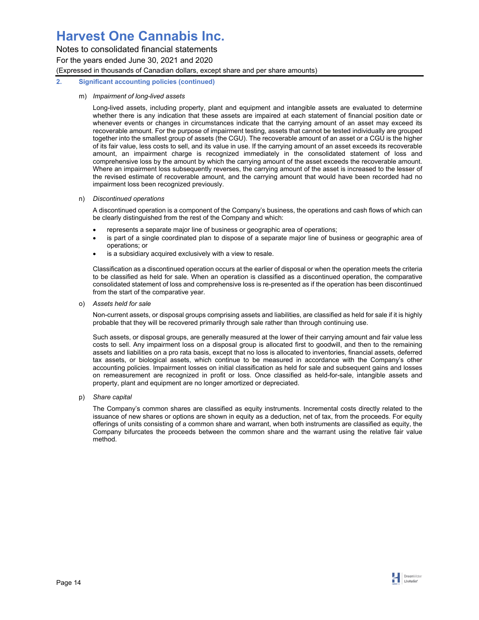Notes to consolidated financial statements

For the years ended June 30, 2021 and 2020

(Expressed in thousands of Canadian dollars, except share and per share amounts)

## **2. Significant accounting policies (continued)**

## m) *Impairment of long-lived assets*

Long-lived assets, including property, plant and equipment and intangible assets are evaluated to determine whether there is any indication that these assets are impaired at each statement of financial position date or whenever events or changes in circumstances indicate that the carrying amount of an asset may exceed its recoverable amount. For the purpose of impairment testing, assets that cannot be tested individually are grouped together into the smallest group of assets (the CGU). The recoverable amount of an asset or a CGU is the higher of its fair value, less costs to sell, and its value in use. If the carrying amount of an asset exceeds its recoverable amount, an impairment charge is recognized immediately in the consolidated statement of loss and comprehensive loss by the amount by which the carrying amount of the asset exceeds the recoverable amount. Where an impairment loss subsequently reverses, the carrying amount of the asset is increased to the lesser of the revised estimate of recoverable amount, and the carrying amount that would have been recorded had no impairment loss been recognized previously.

## n) *Discontinued operations*

A discontinued operation is a component of the Company's business, the operations and cash flows of which can be clearly distinguished from the rest of the Company and which:

- represents a separate major line of business or geographic area of operations;
- is part of a single coordinated plan to dispose of a separate major line of business or geographic area of operations; or
- is a subsidiary acquired exclusively with a view to resale.

Classification as a discontinued operation occurs at the earlier of disposal or when the operation meets the criteria to be classified as held for sale. When an operation is classified as a discontinued operation, the comparative consolidated statement of loss and comprehensive loss is re-presented as if the operation has been discontinued from the start of the comparative year.

o) *Assets held for sale* 

Non-current assets, or disposal groups comprising assets and liabilities, are classified as held for sale if it is highly probable that they will be recovered primarily through sale rather than through continuing use.

Such assets, or disposal groups, are generally measured at the lower of their carrying amount and fair value less costs to sell. Any impairment loss on a disposal group is allocated first to goodwill, and then to the remaining assets and liabilities on a pro rata basis, except that no loss is allocated to inventories, financial assets, deferred tax assets, or biological assets, which continue to be measured in accordance with the Company's other accounting policies. Impairment losses on initial classification as held for sale and subsequent gains and losses on remeasurement are recognized in profit or loss. Once classified as held-for-sale, intangible assets and property, plant and equipment are no longer amortized or depreciated.

p) *Share capital* 

The Company's common shares are classified as equity instruments. Incremental costs directly related to the issuance of new shares or options are shown in equity as a deduction, net of tax, from the proceeds. For equity offerings of units consisting of a common share and warrant, when both instruments are classified as equity, the Company bifurcates the proceeds between the common share and the warrant using the relative fair value method.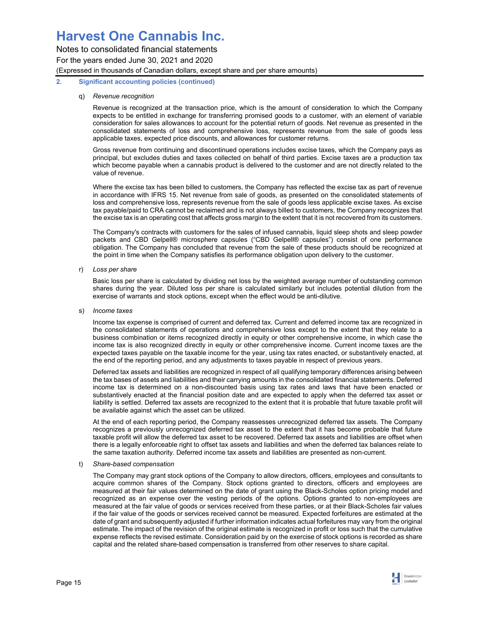Notes to consolidated financial statements For the years ended June 30, 2021 and 2020 (Expressed in thousands of Canadian dollars, except share and per share amounts)

### **2. Significant accounting policies (continued)**

### q) *Revenue recognition*

Revenue is recognized at the transaction price, which is the amount of consideration to which the Company expects to be entitled in exchange for transferring promised goods to a customer, with an element of variable consideration for sales allowances to account for the potential return of goods. Net revenue as presented in the consolidated statements of loss and comprehensive loss, represents revenue from the sale of goods less applicable taxes, expected price discounts, and allowances for customer returns.

Gross revenue from continuing and discontinued operations includes excise taxes, which the Company pays as principal, but excludes duties and taxes collected on behalf of third parties. Excise taxes are a production tax which become payable when a cannabis product is delivered to the customer and are not directly related to the value of revenue.

Where the excise tax has been billed to customers, the Company has reflected the excise tax as part of revenue in accordance with IFRS 15. Net revenue from sale of goods, as presented on the consolidated statements of loss and comprehensive loss, represents revenue from the sale of goods less applicable excise taxes. As excise tax payable/paid to CRA cannot be reclaimed and is not always billed to customers, the Company recognizes that the excise tax is an operating cost that affects gross margin to the extent that it is not recovered from its customers.

The Company's contracts with customers for the sales of infused cannabis, liquid sleep shots and sleep powder packets and CBD Gelpell® microsphere capsules ("CBD Gelpell® capsules") consist of one performance obligation. The Company has concluded that revenue from the sale of these products should be recognized at the point in time when the Company satisfies its performance obligation upon delivery to the customer.

r) *Loss per share* 

Basic loss per share is calculated by dividing net loss by the weighted average number of outstanding common shares during the year. Diluted loss per share is calculated similarly but includes potential dilution from the exercise of warrants and stock options, except when the effect would be anti-dilutive.

s) *Income taxes* 

Income tax expense is comprised of current and deferred tax. Current and deferred income tax are recognized in the consolidated statements of operations and comprehensive loss except to the extent that they relate to a business combination or items recognized directly in equity or other comprehensive income, in which case the income tax is also recognized directly in equity or other comprehensive income. Current income taxes are the expected taxes payable on the taxable income for the year, using tax rates enacted, or substantively enacted, at the end of the reporting period, and any adjustments to taxes payable in respect of previous years.

Deferred tax assets and liabilities are recognized in respect of all qualifying temporary differences arising between the tax bases of assets and liabilities and their carrying amounts in the consolidated financial statements. Deferred income tax is determined on a non-discounted basis using tax rates and laws that have been enacted or substantively enacted at the financial position date and are expected to apply when the deferred tax asset or liability is settled. Deferred tax assets are recognized to the extent that it is probable that future taxable profit will be available against which the asset can be utilized.

At the end of each reporting period, the Company reassesses unrecognized deferred tax assets. The Company recognizes a previously unrecognized deferred tax asset to the extent that it has become probable that future taxable profit will allow the deferred tax asset to be recovered. Deferred tax assets and liabilities are offset when there is a legally enforceable right to offset tax assets and liabilities and when the deferred tax balances relate to the same taxation authority. Deferred income tax assets and liabilities are presented as non-current.

t) *Share-based compensation* 

The Company may grant stock options of the Company to allow directors, officers, employees and consultants to acquire common shares of the Company. Stock options granted to directors, officers and employees are measured at their fair values determined on the date of grant using the Black-Scholes option pricing model and recognized as an expense over the vesting periods of the options. Options granted to non-employees are measured at the fair value of goods or services received from these parties, or at their Black-Scholes fair values if the fair value of the goods or services received cannot be measured. Expected forfeitures are estimated at the date of grant and subsequently adjusted if further information indicates actual forfeitures may vary from the original estimate. The impact of the revision of the original estimate is recognized in profit or loss such that the cumulative expense reflects the revised estimate. Consideration paid by on the exercise of stock options is recorded as share capital and the related share-based compensation is transferred from other reserves to share capital.

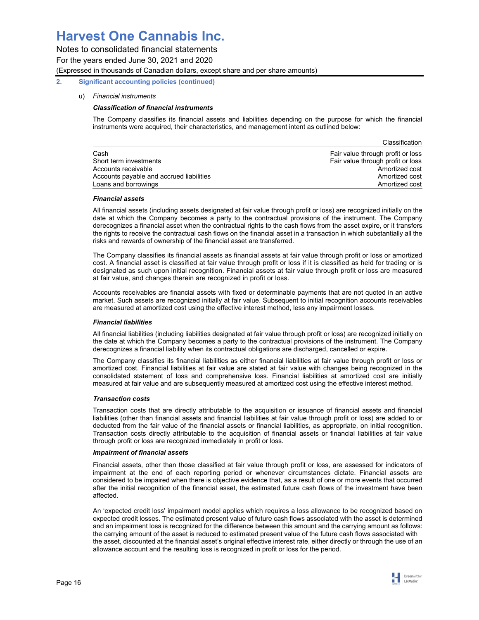Notes to consolidated financial statements For the years ended June 30, 2021 and 2020 (Expressed in thousands of Canadian dollars, except share and per share amounts)

## **2. Significant accounting policies (continued)**

## u) *Financial instruments*

## *Classification of financial instruments*

The Company classifies its financial assets and liabilities depending on the purpose for which the financial instruments were acquired, their characteristics, and management intent as outlined below:

|                                          | Classification                    |
|------------------------------------------|-----------------------------------|
| Cash                                     | Fair value through profit or loss |
| Short term investments                   | Fair value through profit or loss |
| Accounts receivable                      | Amortized cost                    |
| Accounts payable and accrued liabilities | Amortized cost                    |
| Loans and borrowings                     | Amortized cost                    |

### *Financial assets*

All financial assets (including assets designated at fair value through profit or loss) are recognized initially on the date at which the Company becomes a party to the contractual provisions of the instrument. The Company derecognizes a financial asset when the contractual rights to the cash flows from the asset expire, or it transfers the rights to receive the contractual cash flows on the financial asset in a transaction in which substantially all the risks and rewards of ownership of the financial asset are transferred.

The Company classifies its financial assets as financial assets at fair value through profit or loss or amortized cost. A financial asset is classified at fair value through profit or loss if it is classified as held for trading or is designated as such upon initial recognition. Financial assets at fair value through profit or loss are measured at fair value, and changes therein are recognized in profit or loss.

Accounts receivables are financial assets with fixed or determinable payments that are not quoted in an active market. Such assets are recognized initially at fair value. Subsequent to initial recognition accounts receivables are measured at amortized cost using the effective interest method, less any impairment losses.

### *Financial liabilities*

All financial liabilities (including liabilities designated at fair value through profit or loss) are recognized initially on the date at which the Company becomes a party to the contractual provisions of the instrument. The Company derecognizes a financial liability when its contractual obligations are discharged, cancelled or expire.

The Company classifies its financial liabilities as either financial liabilities at fair value through profit or loss or amortized cost. Financial liabilities at fair value are stated at fair value with changes being recognized in the consolidated statement of loss and comprehensive loss. Financial liabilities at amortized cost are initially measured at fair value and are subsequently measured at amortized cost using the effective interest method.

### *Transaction costs*

Transaction costs that are directly attributable to the acquisition or issuance of financial assets and financial liabilities (other than financial assets and financial liabilities at fair value through profit or loss) are added to or deducted from the fair value of the financial assets or financial liabilities, as appropriate, on initial recognition. Transaction costs directly attributable to the acquisition of financial assets or financial liabilities at fair value through profit or loss are recognized immediately in profit or loss.

#### *Impairment of financial assets*

Financial assets, other than those classified at fair value through profit or loss, are assessed for indicators of impairment at the end of each reporting period or whenever circumstances dictate. Financial assets are considered to be impaired when there is objective evidence that, as a result of one or more events that occurred after the initial recognition of the financial asset, the estimated future cash flows of the investment have been affected.

An 'expected credit loss' impairment model applies which requires a loss allowance to be recognized based on expected credit losses. The estimated present value of future cash flows associated with the asset is determined and an impairment loss is recognized for the difference between this amount and the carrying amount as follows: the carrying amount of the asset is reduced to estimated present value of the future cash flows associated with the asset, discounted at the financial asset's original effective interest rate, either directly or through the use of an allowance account and the resulting loss is recognized in profit or loss for the period.

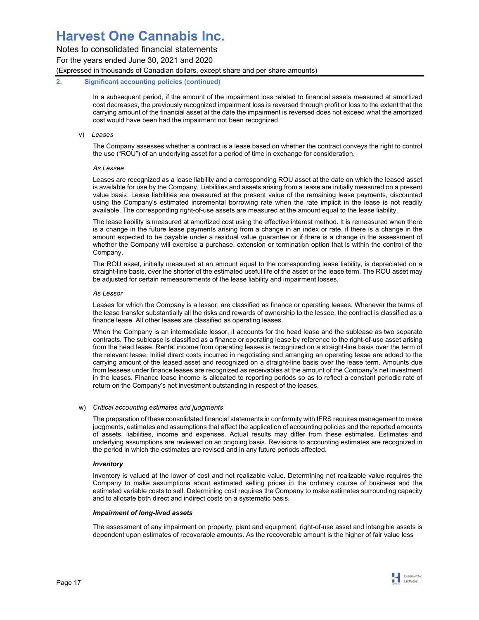Notes to consolidated financial statements

For the years ended June 30, 2021 and 2020

(Expressed in thousands of Canadian dollars, except share and per share amounts)

## **2. Significant accounting policies (continued)**

In a subsequent period, if the amount of the impairment loss related to financial assets measured at amortized cost decreases, the previously recognized impairment loss is reversed through profit or loss to the extent that the carrying amount of the financial asset at the date the impairment is reversed does not exceed what the amortized cost would have been had the impairment not been recognized.

## v) *Leases*

The Company assesses whether a contract is a lease based on whether the contract conveys the right to control the use ("ROU") of an underlying asset for a period of time in exchange for consideration.

### *As Lessee*

Leases are recognized as a lease liability and a corresponding ROU asset at the date on which the leased asset is available for use by the Company. Liabilities and assets arising from a lease are initially measured on a present value basis. Lease liabilities are measured at the present value of the remaining lease payments, discounted using the Company's estimated incremental borrowing rate when the rate implicit in the lease is not readily available. The corresponding right-of-use assets are measured at the amount equal to the lease liability.

The lease liability is measured at amortized cost using the effective interest method. It is remeasured when there is a change in the future lease payments arising from a change in an index or rate, if there is a change in the amount expected to be payable under a residual value guarantee or if there is a change in the assessment of whether the Company will exercise a purchase, extension or termination option that is within the control of the Company.

The ROU asset, initially measured at an amount equal to the corresponding lease liability, is depreciated on a straight-line basis, over the shorter of the estimated useful life of the asset or the lease term. The ROU asset may be adjusted for certain remeasurements of the lease liability and impairment losses.

## *As Lessor*

Leases for which the Company is a lessor, are classified as finance or operating leases. Whenever the terms of the lease transfer substantially all the risks and rewards of ownership to the lessee, the contract is classified as a finance lease. All other leases are classified as operating leases.

When the Company is an intermediate lessor, it accounts for the head lease and the sublease as two separate contracts. The sublease is classified as a finance or operating lease by reference to the right-of-use asset arising from the head lease. Rental income from operating leases is recognized on a straight-line basis over the term of the relevant lease. Initial direct costs incurred in negotiating and arranging an operating lease are added to the carrying amount of the leased asset and recognized on a straight-line basis over the lease term. Amounts due from lessees under finance leases are recognized as receivables at the amount of the Company's net investment in the leases. Finance lease income is allocated to reporting periods so as to reflect a constant periodic rate of return on the Company's net investment outstanding in respect of the leases.

## w) *Critical accounting estimates and judgments*

The preparation of these consolidated financial statements in conformity with IFRS requires management to make judgments, estimates and assumptions that affect the application of accounting policies and the reported amounts of assets, liabilities, income and expenses. Actual results may differ from these estimates. Estimates and underlying assumptions are reviewed on an ongoing basis. Revisions to accounting estimates are recognized in the period in which the estimates are revised and in any future periods affected.

## *Inventory*

Inventory is valued at the lower of cost and net realizable value. Determining net realizable value requires the Company to make assumptions about estimated selling prices in the ordinary course of business and the estimated variable costs to sell. Determining cost requires the Company to make estimates surrounding capacity and to allocate both direct and indirect costs on a systematic basis.

### *Impairment of long-lived assets*

The assessment of any impairment on property, plant and equipment, right-of-use asset and intangible assets is dependent upon estimates of recoverable amounts. As the recoverable amount is the higher of fair value less

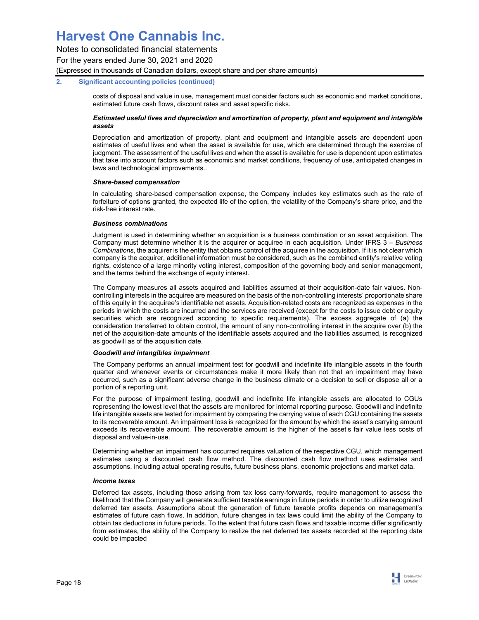Notes to consolidated financial statements

For the years ended June 30, 2021 and 2020

(Expressed in thousands of Canadian dollars, except share and per share amounts)

## **2. Significant accounting policies (continued)**

costs of disposal and value in use, management must consider factors such as economic and market conditions, estimated future cash flows, discount rates and asset specific risks.

## *Estimated useful lives and depreciation and amortization of property, plant and equipment and intangible assets*

Depreciation and amortization of property, plant and equipment and intangible assets are dependent upon estimates of useful lives and when the asset is available for use, which are determined through the exercise of judgment. The assessment of the useful lives and when the asset is available for use is dependent upon estimates that take into account factors such as economic and market conditions, frequency of use, anticipated changes in laws and technological improvements..

### *Share-based compensation*

In calculating share-based compensation expense, the Company includes key estimates such as the rate of forfeiture of options granted, the expected life of the option, the volatility of the Company's share price, and the risk-free interest rate.

## *Business combinations*

Judgment is used in determining whether an acquisition is a business combination or an asset acquisition. The Company must determine whether it is the acquirer or acquiree in each acquisition. Under IFRS 3 – *Business Combinations*, the acquirer is the entity that obtains control of the acquiree in the acquisition. If it is not clear which company is the acquirer, additional information must be considered, such as the combined entity's relative voting rights, existence of a large minority voting interest, composition of the governing body and senior management, and the terms behind the exchange of equity interest.

The Company measures all assets acquired and liabilities assumed at their acquisition-date fair values. Noncontrolling interests in the acquiree are measured on the basis of the non-controlling interests' proportionate share of this equity in the acquiree's identifiable net assets. Acquisition-related costs are recognized as expenses in the periods in which the costs are incurred and the services are received (except for the costs to issue debt or equity securities which are recognized according to specific requirements). The excess aggregate of (a) the consideration transferred to obtain control, the amount of any non-controlling interest in the acquire over (b) the net of the acquisition-date amounts of the identifiable assets acquired and the liabilities assumed, is recognized as goodwill as of the acquisition date.

## *Goodwill and intangibles impairment*

The Company performs an annual impairment test for goodwill and indefinite life intangible assets in the fourth quarter and whenever events or circumstances make it more likely than not that an impairment may have occurred, such as a significant adverse change in the business climate or a decision to sell or dispose all or a portion of a reporting unit.

For the purpose of impairment testing, goodwill and indefinite life intangible assets are allocated to CGUs representing the lowest level that the assets are monitored for internal reporting purpose. Goodwill and indefinite life intangible assets are tested for impairment by comparing the carrying value of each CGU containing the assets to its recoverable amount. An impairment loss is recognized for the amount by which the asset's carrying amount exceeds its recoverable amount. The recoverable amount is the higher of the asset's fair value less costs of disposal and value-in-use.

Determining whether an impairment has occurred requires valuation of the respective CGU, which management estimates using a discounted cash flow method. The discounted cash flow method uses estimates and assumptions, including actual operating results, future business plans, economic projections and market data.

### *Income taxes*

Deferred tax assets, including those arising from tax loss carry-forwards, require management to assess the likelihood that the Company will generate sufficient taxable earnings in future periods in order to utilize recognized deferred tax assets. Assumptions about the generation of future taxable profits depends on management's estimates of future cash flows. In addition, future changes in tax laws could limit the ability of the Company to obtain tax deductions in future periods. To the extent that future cash flows and taxable income differ significantly from estimates, the ability of the Company to realize the net deferred tax assets recorded at the reporting date could be impacted

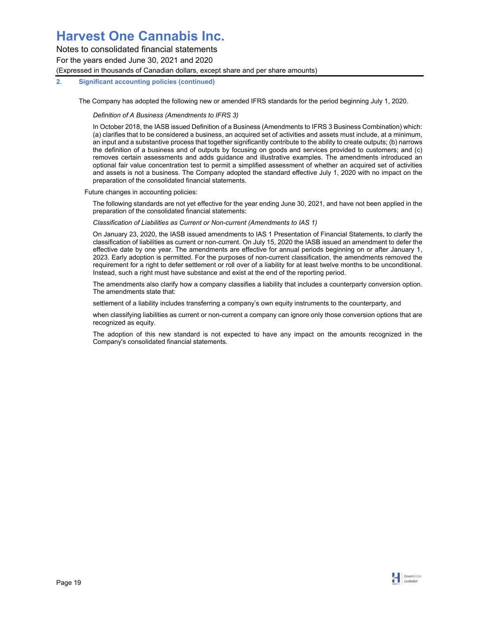Notes to consolidated financial statements For the years ended June 30, 2021 and 2020 (Expressed in thousands of Canadian dollars, except share and per share amounts)

## **2. Significant accounting policies (continued)**

The Company has adopted the following new or amended IFRS standards for the period beginning July 1, 2020.

*Definition of A Business (Amendments to IFRS 3)*

In October 2018, the IASB issued Definition of a Business (Amendments to IFRS 3 Business Combination) which: (a) clarifies that to be considered a business, an acquired set of activities and assets must include, at a minimum, an input and a substantive process that together significantly contribute to the ability to create outputs; (b) narrows the definition of a business and of outputs by focusing on goods and services provided to customers; and (c) removes certain assessments and adds guidance and illustrative examples. The amendments introduced an optional fair value concentration test to permit a simplified assessment of whether an acquired set of activities and assets is not a business. The Company adopted the standard effective July 1, 2020 with no impact on the preparation of the consolidated financial statements.

### Future changes in accounting policies:

The following standards are not yet effective for the year ending June 30, 2021, and have not been applied in the preparation of the consolidated financial statements:

### *Classification of Liabilities as Current or Non-current (Amendments to IAS 1)*

On January 23, 2020, the IASB issued amendments to IAS 1 Presentation of Financial Statements, to clarify the classification of liabilities as current or non-current. On July 15, 2020 the IASB issued an amendment to defer the effective date by one year. The amendments are effective for annual periods beginning on or after January 1, 2023. Early adoption is permitted. For the purposes of non-current classification, the amendments removed the requirement for a right to defer settlement or roll over of a liability for at least twelve months to be unconditional. Instead, such a right must have substance and exist at the end of the reporting period.

The amendments also clarify how a company classifies a liability that includes a counterparty conversion option. The amendments state that:

settlement of a liability includes transferring a company's own equity instruments to the counterparty, and

when classifying liabilities as current or non-current a company can ignore only those conversion options that are recognized as equity.

The adoption of this new standard is not expected to have any impact on the amounts recognized in the Company's consolidated financial statements.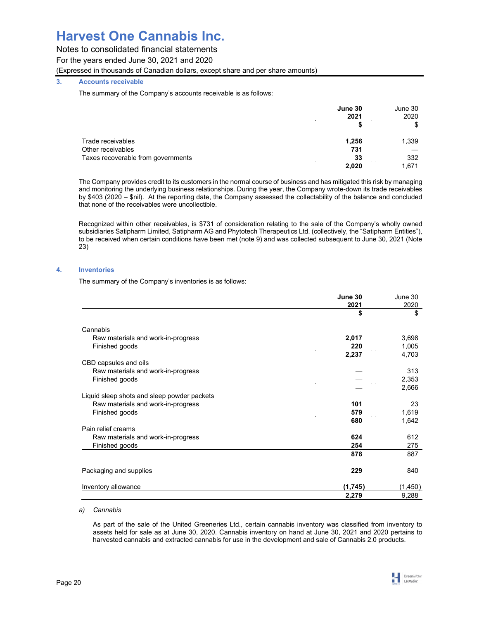## Notes to consolidated financial statements

For the years ended June 30, 2021 and 2020

(Expressed in thousands of Canadian dollars, except share and per share amounts)

## **3. Accounts receivable**

The summary of the Company's accounts receivable is as follows:

|                                    | June 30<br>2021<br>$\sim$ $\sim$ | June 30<br>2020 |
|------------------------------------|----------------------------------|-----------------|
|                                    |                                  | \$              |
| Trade receivables                  | 1,256                            | 1,339           |
| Other receivables                  | 731                              |                 |
| Taxes recoverable from governments | 33                               | 332             |
|                                    | 2,020                            | 1,671           |

The Company provides credit to its customers in the normal course of business and has mitigated this risk by managing and monitoring the underlying business relationships. During the year, the Company wrote-down its trade receivables by \$403 (2020 – \$nil). At the reporting date, the Company assessed the collectability of the balance and concluded that none of the receivables were uncollectible.

Recognized within other receivables, is \$731 of consideration relating to the sale of the Company's wholly owned subsidiaries Satipharm Limited, Satipharm AG and Phytotech Therapeutics Ltd. (collectively, the "Satipharm Entities"), to be received when certain conditions have been met (note 9) and was collected subsequent to June 30, 2021 (Note 23)

## **4. Inventories**

The summary of the Company's inventories is as follows:

|                                                      | June 30<br>2021 | June 30<br>2020 |
|------------------------------------------------------|-----------------|-----------------|
|                                                      | \$              | \$              |
|                                                      |                 |                 |
| Cannabis                                             |                 |                 |
| Raw materials and work-in-progress                   | 2,017           | 3,698           |
| Finished goods                                       | 220             | 1,005           |
|                                                      | 2,237           | 4,703           |
| CBD capsules and oils                                |                 |                 |
| Raw materials and work-in-progress                   |                 | 313             |
| Finished goods                                       |                 | 2,353           |
|                                                      |                 | 2,666           |
| Liquid sleep shots and sleep powder packets          |                 |                 |
| Raw materials and work-in-progress                   | 101             | 23              |
| Finished goods                                       | 579             | 1,619           |
|                                                      | 680             | 1,642           |
| Pain relief creams                                   | 624             | 612             |
| Raw materials and work-in-progress<br>Finished goods | 254             | 275             |
|                                                      | 878             | 887             |
|                                                      |                 |                 |
| Packaging and supplies                               | 229             | 840             |
| Inventory allowance                                  | (1,745)         | (1, 450)        |
|                                                      | 2,279           | 9,288           |

### *a) Cannabis*

As part of the sale of the United Greeneries Ltd., certain cannabis inventory was classified from inventory to assets held for sale as at June 30, 2020. Cannabis inventory on hand at June 30, 2021 and 2020 pertains to harvested cannabis and extracted cannabis for use in the development and sale of Cannabis 2.0 products.

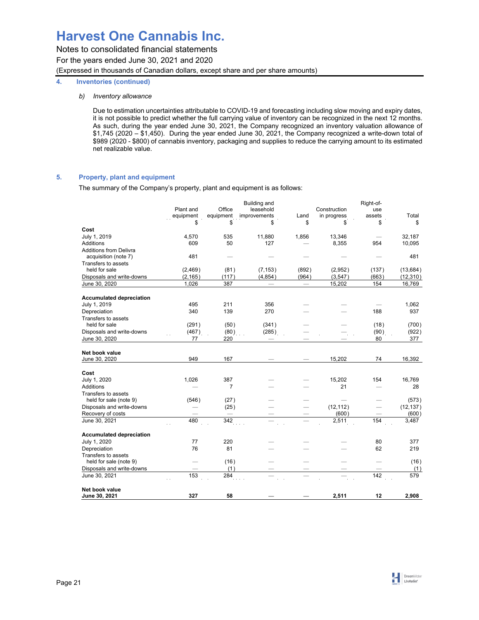## **4. Inventories (continued)**

## *b) Inventory allowance*

Due to estimation uncertainties attributable to COVID-19 and forecasting including slow moving and expiry dates, it is not possible to predict whether the full carrying value of inventory can be recognized in the next 12 months. As such, during the year ended June 30, 2021, the Company recognized an inventory valuation allowance of \$1,745 (2020 – \$1,450). During the year ended June 30, 2021, the Company recognized a write-down total of \$989 (2020 - \$800) of cannabis inventory, packaging and supplies to reduce the carrying amount to its estimated net realizable value.

## **5. Property, plant and equipment**

The summary of the Company's property, plant and equipment is as follows:

|                                 | Plant and<br>equipment | Office<br>equipment | <b>Building and</b><br>leasehold<br><i>improvements</i> | Land     | Construction<br>in progress | Right-of-<br>use<br>assets | Total     |
|---------------------------------|------------------------|---------------------|---------------------------------------------------------|----------|-----------------------------|----------------------------|-----------|
|                                 | \$                     | \$                  | \$                                                      | \$       | \$                          | \$                         | \$        |
| Cost                            |                        |                     |                                                         |          |                             |                            |           |
| July 1, 2019                    | 4,570                  | 535                 | 11,880                                                  | 1,856    | 13,346                      |                            | 32,187    |
| Additions                       | 609                    | 50                  | 127                                                     |          | 8,355                       | 954                        | 10,095    |
| <b>Additions from Delivra</b>   |                        |                     |                                                         |          |                             |                            |           |
| acquisition (note 7)            | 481                    |                     |                                                         |          |                             |                            | 481       |
| Transfers to assets             |                        |                     |                                                         |          |                             |                            |           |
| held for sale                   | (2, 469)               | (81)                | (7, 153)                                                | (892)    | (2,952)                     | (137)                      | (13, 684) |
| Disposals and write-downs       | (2, 165)               | (117)               | (4, 854)                                                | (964)    | (3, 547)                    | (663)                      | (12, 310) |
| June 30, 2020                   | 1,026                  | 387                 |                                                         | $\equiv$ | 15,202                      | 154                        | 16,769    |
| <b>Accumulated depreciation</b> |                        |                     |                                                         |          |                             |                            |           |
| July 1, 2019                    | 495                    | 211                 | 356                                                     |          |                             |                            | 1,062     |
| Depreciation                    | 340                    | 139                 | 270                                                     |          |                             | 188                        | 937       |
| Transfers to assets             |                        |                     |                                                         |          |                             |                            |           |
| held for sale                   | (291)                  | (50)                | (341)                                                   |          |                             | (18)                       | (700)     |
| Disposals and write-downs       | (467)                  | (80)                | (285)                                                   |          |                             | (90)                       | (922)     |
| June 30, 2020                   | 77                     | 220                 | $\frac{1}{2}$                                           |          |                             | 80                         | 377       |
|                                 |                        |                     |                                                         |          |                             |                            |           |
| Net book value                  |                        |                     |                                                         |          |                             |                            |           |
| June 30, 2020                   | 949                    | 167                 | $\sim$ $\sim$                                           | T.       | 15,202                      | 74                         | 16,392    |
| Cost                            |                        |                     |                                                         |          |                             |                            |           |
| July 1, 2020                    | 1,026                  | 387                 |                                                         |          | 15,202                      | 154                        | 16,769    |
| Additions                       |                        | $\overline{7}$      |                                                         |          | 21                          |                            | 28        |
| Transfers to assets             |                        |                     |                                                         |          |                             |                            |           |
| held for sale (note 9)          | (546)                  | (27)                |                                                         |          |                             |                            | (573)     |
| Disposals and write-downs       |                        | (25)                |                                                         |          | (12, 112)                   |                            | (12, 137) |
| Recovery of costs               |                        |                     |                                                         |          | (600)                       |                            | (600)     |
| June 30, 2021                   | 480                    | 342                 |                                                         | $\equiv$ | 2,511                       | 154                        | 3,487     |
| <b>Accumulated depreciation</b> |                        |                     |                                                         |          |                             |                            |           |
| July 1, 2020                    | 77                     | 220                 |                                                         |          |                             | 80                         | 377       |
| Depreciation                    | 76                     | 81                  |                                                         |          |                             | 62                         | 219       |
| Transfers to assets             |                        |                     |                                                         |          |                             |                            |           |
| held for sale (note 9)          |                        | (16)                |                                                         |          |                             |                            | (16)      |
| Disposals and write-downs       |                        | (1)                 |                                                         | т.,      |                             |                            | (1)       |
| June 30, 2021                   | 153                    | 284                 |                                                         |          |                             | 142                        | 579       |
|                                 |                        |                     |                                                         |          |                             |                            |           |
| Net book value                  |                        |                     |                                                         |          |                             |                            |           |
| June 30, 2021                   | 327                    | 58                  |                                                         |          | 2,511                       | 12                         | 2,908     |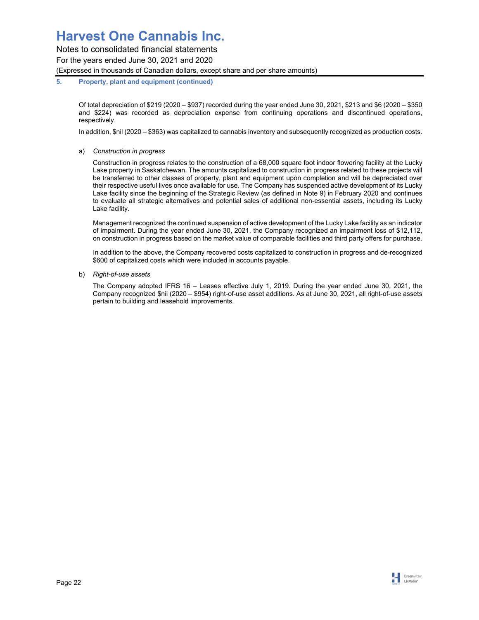Notes to consolidated financial statements For the years ended June 30, 2021 and 2020 (Expressed in thousands of Canadian dollars, except share and per share amounts)

## **5. Property, plant and equipment (continued)**

Of total depreciation of \$219 (2020 – \$937) recorded during the year ended June 30, 2021, \$213 and \$6 (2020 – \$350 and \$224) was recorded as depreciation expense from continuing operations and discontinued operations, respectively.

In addition, \$nil (2020 – \$363) was capitalized to cannabis inventory and subsequently recognized as production costs.

a) *Construction in progress* 

Construction in progress relates to the construction of a 68,000 square foot indoor flowering facility at the Lucky Lake property in Saskatchewan. The amounts capitalized to construction in progress related to these projects will be transferred to other classes of property, plant and equipment upon completion and will be depreciated over their respective useful lives once available for use. The Company has suspended active development of its Lucky Lake facility since the beginning of the Strategic Review (as defined in Note 9) in February 2020 and continues to evaluate all strategic alternatives and potential sales of additional non-essential assets, including its Lucky Lake facility.

Management recognized the continued suspension of active development of the Lucky Lake facility as an indicator of impairment. During the year ended June 30, 2021, the Company recognized an impairment loss of \$12,112, on construction in progress based on the market value of comparable facilities and third party offers for purchase.

In addition to the above, the Company recovered costs capitalized to construction in progress and de-recognized \$600 of capitalized costs which were included in accounts payable.

b) *Right-of-use assets* 

The Company adopted IFRS 16 – Leases effective July 1, 2019. During the year ended June 30, 2021, the Company recognized \$nil (2020 – \$954) right-of-use asset additions. As at June 30, 2021, all right-of-use assets pertain to building and leasehold improvements.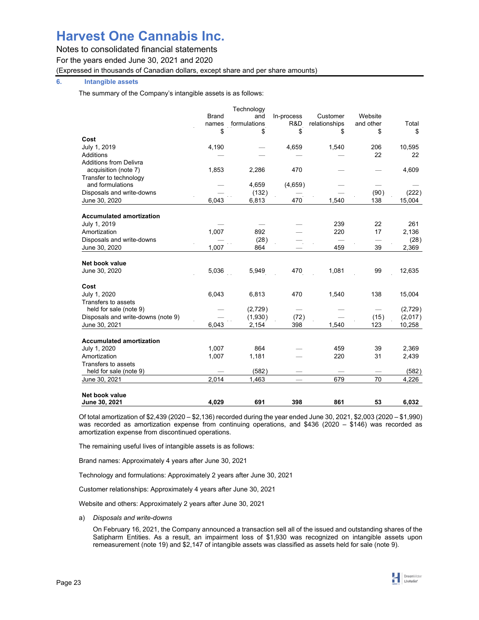Notes to consolidated financial statements

For the years ended June 30, 2021 and 2020

(Expressed in thousands of Canadian dollars, except share and per share amounts)

## **6. Intangible assets**

The summary of the Company's intangible assets is as follows:

|                                    |              | Technology   |            |                      |           |         |
|------------------------------------|--------------|--------------|------------|----------------------|-----------|---------|
|                                    | <b>Brand</b> | and          | In-process | Customer             | Website   |         |
|                                    | names        | formulations | R&D        | relationships        | and other | Total   |
|                                    | \$           | \$           | \$         | \$                   | \$        | \$      |
| Cost                               |              |              |            |                      |           |         |
| July 1, 2019                       | 4,190        |              | 4,659      | 1,540                | 206       | 10,595  |
| Additions                          |              |              |            |                      | 22        | 22      |
| <b>Additions from Delivra</b>      |              |              |            |                      |           |         |
| acquisition (note 7)               | 1,853        | 2,286        | 470        |                      |           | 4,609   |
| Transfer to technology             |              |              |            |                      |           |         |
| and formulations                   |              | 4,659        | (4,659)    |                      |           |         |
| Disposals and write-downs          |              | (132)        |            |                      | (90)      | (222)   |
| June 30, 2020                      | 6,043        | 6,813        | 470        | 1,540                | 138       | 15,004  |
|                                    |              |              |            |                      |           |         |
| <b>Accumulated amortization</b>    |              |              |            |                      |           |         |
| July 1, 2019                       |              |              |            | 239                  | 22        | 261     |
| Amortization                       | 1,007        | 892          |            | 220                  | 17        | 2,136   |
| Disposals and write-downs          |              | (28)         |            |                      |           | (28)    |
| June 30, 2020                      | 1,007        | 864          |            | 459                  | 39        | 2,369   |
| Net book value                     |              |              |            |                      |           |         |
| June 30, 2020                      | 5,036        | 5,949        | 470        | 1,081                | 99        | 12,635  |
|                                    |              |              |            |                      |           |         |
| Cost                               |              |              |            |                      |           |         |
| July 1, 2020                       | 6,043        | 6,813        | 470        | 1,540                | 138       | 15,004  |
| Transfers to assets                |              |              |            |                      |           |         |
| held for sale (note 9)             |              | (2,729)      |            |                      |           | (2,729) |
| Disposals and write-downs (note 9) |              | (1,930)      | (72)       |                      | (15)      | (2,017) |
| June 30, 2021                      | 6,043        | 2,154        | 398        | 1.540                | 123       | 10,258  |
| <b>Accumulated amortization</b>    |              |              |            |                      |           |         |
| July 1, 2020                       | 1,007        | 864          |            | 459                  | 39        | 2,369   |
| Amortization                       | 1,007        | 1,181        |            | 220                  | 31        | 2,439   |
| Transfers to assets                |              |              |            |                      |           |         |
| held for sale (note 9)             |              | (582)        |            |                      |           | (582)   |
| June 30, 2021                      | 2,014        | 1,463        |            | $\sim$ $\sim$<br>679 | 70        | 4,226   |
|                                    |              |              |            |                      |           |         |
| Net book value                     |              |              |            |                      |           |         |
| June 30, 2021                      | 4.029        | 691          | 398        | 861                  | 53        | 6,032   |

Of total amortization of \$2,439 (2020 – \$2,136) recorded during the year ended June 30, 2021, \$2,003 (2020 – \$1,990) was recorded as amortization expense from continuing operations, and \$436 (2020 – \$146) was recorded as amortization expense from discontinued operations.

The remaining useful lives of intangible assets is as follows:

Brand names: Approximately 4 years after June 30, 2021

Technology and formulations: Approximately 2 years after June 30, 2021

Customer relationships: Approximately 4 years after June 30, 2021

Website and others: Approximately 2 years after June 30, 2021

a) *Disposals and write-downs* 

On February 16, 2021, the Company announced a transaction sell all of the issued and outstanding shares of the Satipharm Entities. As a result, an impairment loss of \$1,930 was recognized on intangible assets upon remeasurement (note 19) and \$2,147 of intangible assets was classified as assets held for sale (note 9).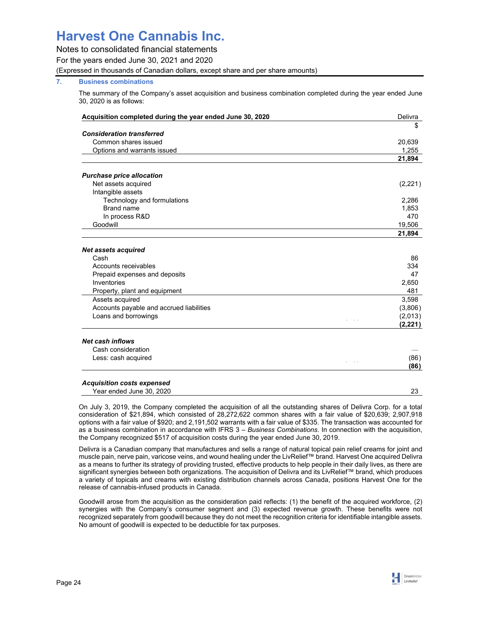## Notes to consolidated financial statements

For the years ended June 30, 2021 and 2020

(Expressed in thousands of Canadian dollars, except share and per share amounts)

## **7. Business combinations**

The summary of the Company's asset acquisition and business combination completed during the year ended June 30, 2020 is as follows:

| Acquisition completed during the year ended June 30, 2020 | Delivra             |
|-----------------------------------------------------------|---------------------|
|                                                           | \$                  |
| <b>Consideration transferred</b>                          |                     |
| Common shares issued                                      | 20,639              |
| Options and warrants issued                               | 1.255               |
|                                                           | 21,894              |
| <b>Purchase price allocation</b>                          |                     |
| Net assets acquired                                       | (2,221)             |
| Intangible assets                                         |                     |
| Technology and formulations                               | 2,286               |
| Brand name                                                | 1,853               |
| In process R&D                                            | 470                 |
| Goodwill                                                  | 19,506              |
|                                                           | 21,894              |
|                                                           |                     |
| <b>Net assets acquired</b><br>Cash                        | 86                  |
| Accounts receivables                                      | 334                 |
| Prepaid expenses and deposits                             | 47                  |
| Inventories                                               | 2,650               |
| Property, plant and equipment                             | 481                 |
|                                                           |                     |
| Assets acquired                                           | 3,598               |
| Accounts payable and accrued liabilities                  | (3,806)             |
| Loans and borrowings                                      | (2,013)<br>(2, 221) |
|                                                           |                     |
| <b>Net cash inflows</b>                                   |                     |
| Cash consideration                                        |                     |
| Less: cash acquired                                       | (86)                |
|                                                           | (86)                |
| <b>Acquisition costs expensed</b>                         |                     |
| Year ended June 30, 2020                                  | 23                  |

On July 3, 2019, the Company completed the acquisition of all the outstanding shares of Delivra Corp. for a total consideration of \$21,894, which consisted of 28,272,622 common shares with a fair value of \$20,639; 2,907,918 options with a fair value of \$920; and 2,191,502 warrants with a fair value of \$335. The transaction was accounted for as a business combination in accordance with IFRS 3 – *Business Combinations*. In connection with the acquisition, the Company recognized \$517 of acquisition costs during the year ended June 30, 2019.

Delivra is a Canadian company that manufactures and sells a range of natural topical pain relief creams for joint and muscle pain, nerve pain, varicose veins, and wound healing under the LivRelief™ brand. Harvest One acquired Delivra as a means to further its strategy of providing trusted, effective products to help people in their daily lives, as there are significant synergies between both organizations. The acquisition of Delivra and its LivRelief™ brand, which produces a variety of topicals and creams with existing distribution channels across Canada, positions Harvest One for the release of cannabis-infused products in Canada.

Goodwill arose from the acquisition as the consideration paid reflects: (1) the benefit of the acquired workforce, (2) synergies with the Company's consumer segment and (3) expected revenue growth. These benefits were not recognized separately from goodwill because they do not meet the recognition criteria for identifiable intangible assets. No amount of goodwill is expected to be deductible for tax purposes.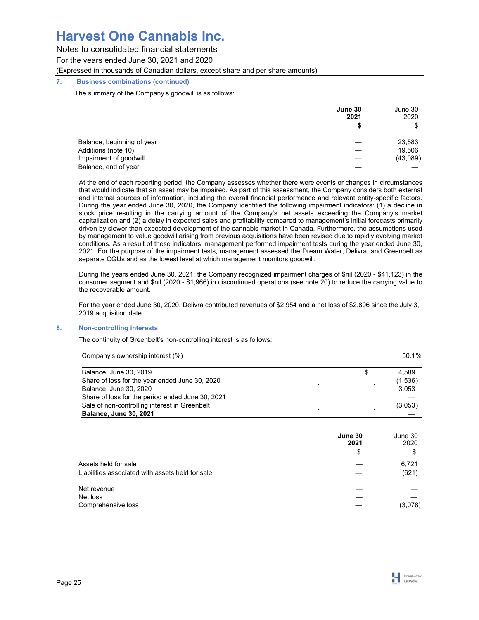Notes to consolidated financial statements

For the years ended June 30, 2021 and 2020

(Expressed in thousands of Canadian dollars, except share and per share amounts)

## **7. Business combinations (continued)**

The summary of the Company's goodwill is as follows:

|                            | June 30 | June 30  |
|----------------------------|---------|----------|
|                            | 2021    | 2020     |
|                            |         |          |
| Balance, beginning of year |         | 23,583   |
| Additions (note 10)        |         | 19,506   |
| Impairment of goodwill     |         | (43,089) |
| Balance, end of year       |         |          |

At the end of each reporting period, the Company assesses whether there were events or changes in circumstances that would indicate that an asset may be impaired. As part of this assessment, the Company considers both external and internal sources of information, including the overall financial performance and relevant entity-specific factors. During the year ended June 30, 2020, the Company identified the following impairment indicators: (1) a decline in stock price resulting in the carrying amount of the Company's net assets exceeding the Company's market capitalization and (2) a delay in expected sales and profitability compared to management's initial forecasts primarily driven by slower than expected development of the cannabis market in Canada. Furthermore, the assumptions used by management to value goodwill arising from previous acquisitions have been revised due to rapidly evolving market conditions. As a result of these indicators, management performed impairment tests during the year ended June 30, 2021. For the purpose of the impairment tests, management assessed the Dream Water, Delivra, and Greenbelt as separate CGUs and as the lowest level at which management monitors goodwill.

During the years ended June 30, 2021, the Company recognized impairment charges of \$nil (2020 - \$41,123) in the consumer segment and \$nil (2020 - \$1,966) in discontinued operations (see note 20) to reduce the carrying value to the recoverable amount.

For the year ended June 30, 2020, Delivra contributed revenues of \$2,954 and a net loss of \$2,806 since the July 3, 2019 acquisition date.

## **8. Non-controlling interests**

The continuity of Greenbelt's non-controlling interest is as follows:

| Company's ownership interest (%)                                         | 50.1%                  |
|--------------------------------------------------------------------------|------------------------|
| Balance, June 30, 2019<br>Share of loss for the year ended June 30, 2020 | \$<br>4.589<br>(1,536) |
| Balance, June 30, 2020                                                   | 3,053                  |
| Share of loss for the period ended June 30, 2021                         |                        |
| Sale of non-controlling interest in Greenbelt                            | (3,053)                |
| <b>Balance, June 30, 2021</b>                                            |                        |

|                                                  | June 30<br>2021 | June 30<br>2020 |
|--------------------------------------------------|-----------------|-----------------|
|                                                  | \$              | \$              |
| Assets held for sale                             |                 | 6,721           |
| Liabilities associated with assets held for sale |                 | (621)           |
| Net revenue                                      |                 |                 |
| Net loss                                         |                 |                 |
| Comprehensive loss                               |                 | (3,078)         |

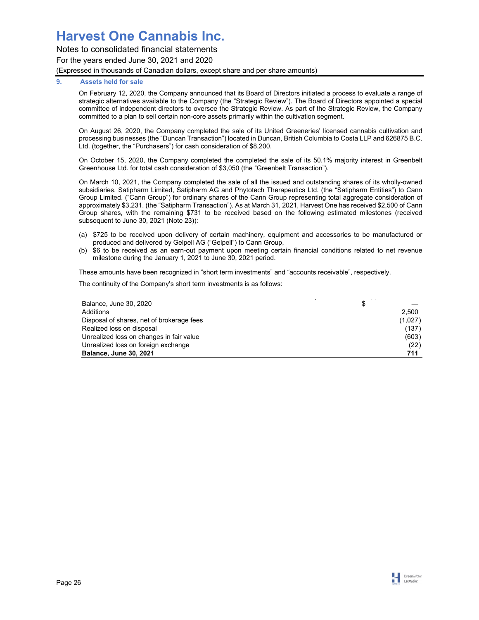## Notes to consolidated financial statements For the years ended June 30, 2021 and 2020 (Expressed in thousands of Canadian dollars, except share and per share amounts)

## **9. Assets held for sale**

On February 12, 2020, the Company announced that its Board of Directors initiated a process to evaluate a range of strategic alternatives available to the Company (the "Strategic Review"). The Board of Directors appointed a special committee of independent directors to oversee the Strategic Review. As part of the Strategic Review, the Company committed to a plan to sell certain non-core assets primarily within the cultivation segment.

On August 26, 2020, the Company completed the sale of its United Greeneries' licensed cannabis cultivation and processing businesses (the "Duncan Transaction") located in Duncan, British Columbia to Costa LLP and 626875 B.C. Ltd. (together, the "Purchasers") for cash consideration of \$8,200.

On October 15, 2020, the Company completed the completed the sale of its 50.1% majority interest in Greenbelt Greenhouse Ltd. for total cash consideration of \$3,050 (the "Greenbelt Transaction").

On March 10, 2021, the Company completed the sale of all the issued and outstanding shares of its wholly-owned subsidiaries, Satipharm Limited, Satipharm AG and Phytotech Therapeutics Ltd. (the "Satipharm Entities") to Cann Group Limited. ("Cann Group") for ordinary shares of the Cann Group representing total aggregate consideration of approximately \$3,231. (the "Satipharm Transaction"). As at March 31, 2021, Harvest One has received \$2,500 of Cann Group shares, with the remaining \$731 to be received based on the following estimated milestones (received subsequent to June 30, 2021 (Note 23)):

- (a) \$725 to be received upon delivery of certain machinery, equipment and accessories to be manufactured or produced and delivered by Gelpell AG ("Gelpell") to Cann Group,
- (b) \$6 to be received as an earn-out payment upon meeting certain financial conditions related to net revenue milestone during the January 1, 2021 to June 30, 2021 period.

These amounts have been recognized in "short term investments" and "accounts receivable", respectively.

The continuity of the Company's short term investments is as follows:

| Balance, June 30, 2020                    | \$      |
|-------------------------------------------|---------|
| Additions                                 | 2.500   |
| Disposal of shares, net of brokerage fees | (1,027) |
| Realized loss on disposal                 | (137)   |
| Unrealized loss on changes in fair value  | (603)   |
| Unrealized loss on foreign exchange       | (22)    |
| <b>Balance, June 30, 2021</b>             | 711     |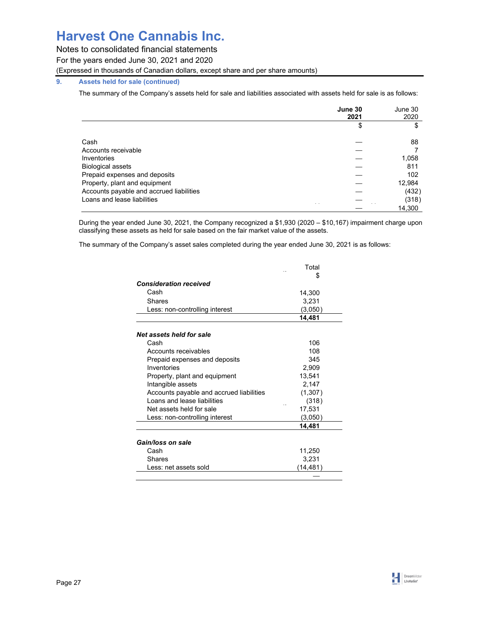Notes to consolidated financial statements

For the years ended June 30, 2021 and 2020

(Expressed in thousands of Canadian dollars, except share and per share amounts)

## **9. Assets held for sale (continued)**

The summary of the Company's assets held for sale and liabilities associated with assets held for sale is as follows:

|                                          | June 30<br>2021 | June 30<br>2020 |
|------------------------------------------|-----------------|-----------------|
|                                          | \$              |                 |
| Cash                                     |                 | 88              |
| Accounts receivable                      |                 |                 |
| Inventories                              |                 | 1,058           |
| <b>Biological assets</b>                 |                 | 811             |
| Prepaid expenses and deposits            |                 | 102             |
| Property, plant and equipment            |                 | 12,984          |
| Accounts payable and accrued liabilities |                 | (432)           |
| Loans and lease liabilities              |                 | (318)           |
|                                          |                 | 14.300          |

During the year ended June 30, 2021, the Company recognized a \$1,930 (2020 – \$10,167) impairment charge upon classifying these assets as held for sale based on the fair market value of the assets.

The summary of the Company's asset sales completed during the year ended June 30, 2021 is as follows:

|                                          | Total     |
|------------------------------------------|-----------|
|                                          | \$        |
| <b>Consideration received</b>            |           |
| Cash                                     | 14,300    |
| Shares                                   | 3,231     |
| Less: non-controlling interest           | (3.050)   |
|                                          | 14,481    |
| Net assets held for sale                 |           |
| Cash                                     | 106       |
| Accounts receivables                     | 108       |
| Prepaid expenses and deposits            | 345       |
| Inventories                              | 2,909     |
| Property, plant and equipment            | 13,541    |
| Intangible assets                        | 2,147     |
| Accounts payable and accrued liabilities | (1,307)   |
| Loans and lease liabilities              | (318)     |
| Net assets held for sale                 | 17,531    |
| Less: non-controlling interest           | (3,050)   |
|                                          | 14,481    |
| Gain/loss on sale                        |           |
| Cash                                     | 11,250    |
| Shares                                   | 3,231     |
| Less: net assets sold                    | (14, 481) |
|                                          |           |

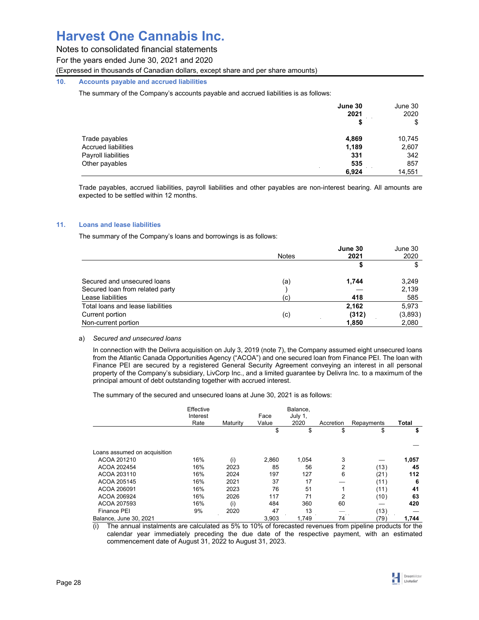Notes to consolidated financial statements

For the years ended June 30, 2021 and 2020

(Expressed in thousands of Canadian dollars, except share and per share amounts)

## **10. Accounts payable and accrued liabilities**

The summary of the Company's accounts payable and accrued liabilities is as follows:

|                            | June 30<br>2021 | June 30<br>2020 |
|----------------------------|-----------------|-----------------|
|                            | \$              | \$              |
| Trade payables             | 4,869           | 10,745          |
| <b>Accrued liabilities</b> | 1,189           | 2,607           |
| Payroll liabilities        | 331             | 342             |
| Other payables             | 535             | 857             |
|                            | 6,924           | 14,551          |

Trade payables, accrued liabilities, payroll liabilities and other payables are non-interest bearing. All amounts are expected to be settled within 12 months.

## **11. Loans and lease liabilities**

The summary of the Company's loans and borrowings is as follows:

|                                   | <b>Notes</b> | June 30<br>2021 | June 30<br>2020 |
|-----------------------------------|--------------|-----------------|-----------------|
|                                   |              |                 | \$              |
| Secured and unsecured loans       | (a)          | 1,744           | 3,249           |
| Secured loan from related party   |              |                 | 2,139           |
| Lease liabilities                 | $\left( $    | 418             | 585             |
| Total loans and lease liabilities |              | 2,162           | 5,973           |
| Current portion                   | (c)          | (312)           | (3,893)         |
| Non-current portion               |              | 1,850           | 2,080           |

### a) *Secured and unsecured loans*

In connection with the Delivra acquisition on July 3, 2019 (note 7), the Company assumed eight unsecured loans from the Atlantic Canada Opportunities Agency ("ACOA") and one secured loan from Finance PEI. The loan with Finance PEI are secured by a registered General Security Agreement conveying an interest in all personal property of the Company's subsidiary, LivCorp Inc., and a limited guarantee by Delivra Inc. to a maximum of the principal amount of debt outstanding together with accrued interest.

The summary of the secured and unsecured loans at June 30, 2021 is as follows:

|                              | Effective<br>Interest<br>Rate | Maturity | Face<br>Value | Balance.<br>July 1,<br>2020 | Accretion | Repayments | Total |
|------------------------------|-------------------------------|----------|---------------|-----------------------------|-----------|------------|-------|
|                              |                               |          | \$            | \$                          | \$        | \$         | \$    |
|                              |                               |          |               |                             |           |            |       |
| Loans assumed on acquisition |                               |          |               |                             |           |            |       |
| ACOA 201210                  | 16%                           | (i)      | 2,860         | 1.054                       | 3         |            | 1,057 |
| ACOA 202454                  | 16%                           | 2023     | 85            | 56                          | 2         | (13)       | 45    |
| ACOA 203110                  | 16%                           | 2024     | 197           | 127                         | 6         | (21)       | 112   |
| ACOA 205145                  | 16%                           | 2021     | 37            | 17                          |           | (11)       | -6    |
| ACOA 206091                  | 16%                           | 2023     | 76            | 51                          |           | (11)       | 41    |
| ACOA 206924                  | 16%                           | 2026     | 117           | 71                          | 2         | (10)       | 63    |
| ACOA 207593                  | 16%                           | (i)      | 484           | 360                         | 60        |            | 420   |
| Finance PEI                  | 9%                            | 2020     | 47            | 13                          |           | (13)       |       |
| Balance, June 30, 2021       |                               |          | 3.903         | 1.749                       | 74        | (79)       | 1,744 |

(i) The annual instalments are calculated as 5% to 10% of forecasted revenues from pipeline products for the calendar year immediately preceding the due date of the respective payment, with an estimated commencement date of August 31, 2022 to August 31, 2023.

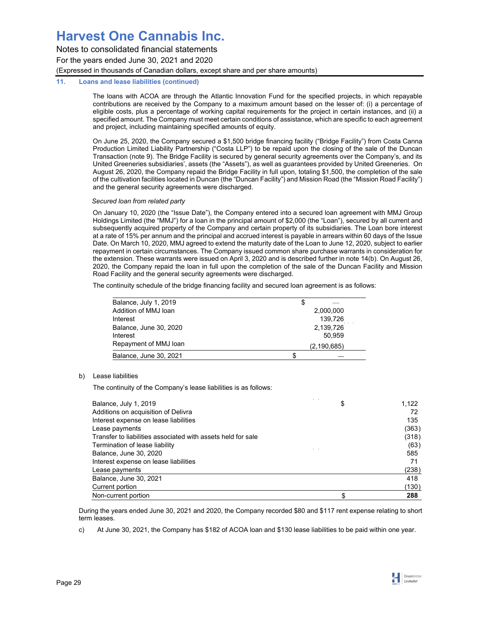Notes to consolidated financial statements For the years ended June 30, 2021 and 2020 (Expressed in thousands of Canadian dollars, except share and per share amounts)

## **11. Loans and lease liabilities (continued)**

The loans with ACOA are through the Atlantic Innovation Fund for the specified projects, in which repayable contributions are received by the Company to a maximum amount based on the lesser of: (i) a percentage of eligible costs, plus a percentage of working capital requirements for the project in certain instances, and (ii) a specified amount. The Company must meet certain conditions of assistance, which are specific to each agreement and project, including maintaining specified amounts of equity.

On June 25, 2020, the Company secured a \$1,500 bridge financing facility ("Bridge Facility") from Costa Canna Production Limited Liability Partnership ("Costa LLP") to be repaid upon the closing of the sale of the Duncan Transaction (note 9). The Bridge Facility is secured by general security agreements over the Company's, and its United Greeneries subsidiaries', assets (the "Assets"), as well as guarantees provided by United Greeneries. On August 26, 2020, the Company repaid the Bridge Facility in full upon, totaling \$1,500, the completion of the sale of the cultivation facilities located in Duncan (the "Duncan Facility") and Mission Road (the "Mission Road Facility") and the general security agreements were discharged.

## *Secured loan from related party*

On January 10, 2020 (the "Issue Date"), the Company entered into a secured loan agreement with MMJ Group Holdings Limited (the "MMJ") for a loan in the principal amount of \$2,000 (the "Loan"), secured by all current and subsequently acquired property of the Company and certain property of its subsidiaries. The Loan bore interest at a rate of 15% per annum and the principal and accrued interest is payable in arrears within 60 days of the Issue Date. On March 10, 2020, MMJ agreed to extend the maturity date of the Loan to June 12, 2020, subject to earlier repayment in certain circumstances. The Company issued common share purchase warrants in consideration for the extension. These warrants were issued on April 3, 2020 and is described further in note 14(b). On August 26, 2020, the Company repaid the loan in full upon the completion of the sale of the Duncan Facility and Mission Road Facility and the general security agreements were discharged.

The continuity schedule of the bridge financing facility and secured loan agreement is as follows:

| Balance, July 1, 2019  | S             |
|------------------------|---------------|
| Addition of MMJ loan   | 2,000,000     |
| Interest               | 139,726       |
| Balance, June 30, 2020 | 2,139,726     |
| Interest               | 50.959        |
| Repayment of MMJ loan  | (2, 190, 685) |
| Balance, June 30, 2021 |               |

## b) Lease liabilities

The continuity of the Company's lease liabilities is as follows:

| Balance, July 1, 2019                                        | \$<br>1,122 |
|--------------------------------------------------------------|-------------|
| Additions on acquisition of Delivra                          | 72          |
| Interest expense on lease liabilities                        | 135         |
| Lease payments                                               | (363)       |
| Transfer to liabilities associated with assets held for sale | (318)       |
| Termination of lease liability                               | (63)        |
| Balance, June 30, 2020                                       | 585         |
| Interest expense on lease liabilities                        | 71          |
| Lease payments                                               | (238)       |
| Balance, June 30, 2021                                       | 418         |
| Current portion                                              | (130)       |
| Non-current portion                                          | 288         |

During the years ended June 30, 2021 and 2020, the Company recorded \$80 and \$117 rent expense relating to short term leases.

c) At June 30, 2021, the Company has \$182 of ACOA loan and \$130 lease liabilities to be paid within one year.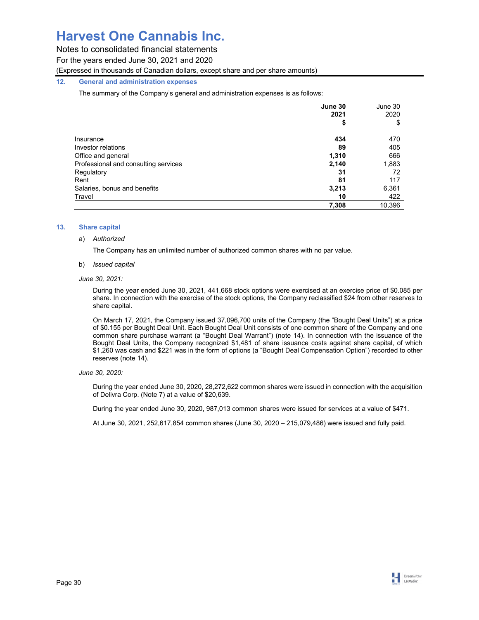Notes to consolidated financial statements

For the years ended June 30, 2021 and 2020

(Expressed in thousands of Canadian dollars, except share and per share amounts)

## **12. General and administration expenses**

The summary of the Company's general and administration expenses is as follows:

|                                      | June 30 | June 30 |
|--------------------------------------|---------|---------|
|                                      | 2021    | 2020    |
|                                      | \$      | \$      |
| Insurance                            | 434     | 470     |
| Investor relations                   | 89      | 405     |
| Office and general                   | 1,310   | 666     |
| Professional and consulting services | 2,140   | 1,883   |
| Regulatory                           | 31      | 72      |
| Rent                                 | 81      | 117     |
| Salaries, bonus and benefits         | 3,213   | 6,361   |
| Travel                               | 10      | 422     |
|                                      | 7,308   | 10,396  |

## **13. Share capital**

### a) *Authorized*

The Company has an unlimited number of authorized common shares with no par value.

## b) *Issued capital*

## *June 30, 2021:*

During the year ended June 30, 2021, 441,668 stock options were exercised at an exercise price of \$0.085 per share. In connection with the exercise of the stock options, the Company reclassified \$24 from other reserves to share capital.

On March 17, 2021, the Company issued 37,096,700 units of the Company (the "Bought Deal Units") at a price of \$0.155 per Bought Deal Unit. Each Bought Deal Unit consists of one common share of the Company and one common share purchase warrant (a "Bought Deal Warrant") (note 14). In connection with the issuance of the Bought Deal Units, the Company recognized \$1,481 of share issuance costs against share capital, of which \$1,260 was cash and \$221 was in the form of options (a "Bought Deal Compensation Option") recorded to other reserves (note 14).

## *June 30, 2020:*

During the year ended June 30, 2020, 28,272,622 common shares were issued in connection with the acquisition of Delivra Corp. (Note 7) at a value of \$20,639.

During the year ended June 30, 2020, 987,013 common shares were issued for services at a value of \$471.

At June 30, 2021, 252,617,854 common shares (June 30, 2020 – 215,079,486) were issued and fully paid.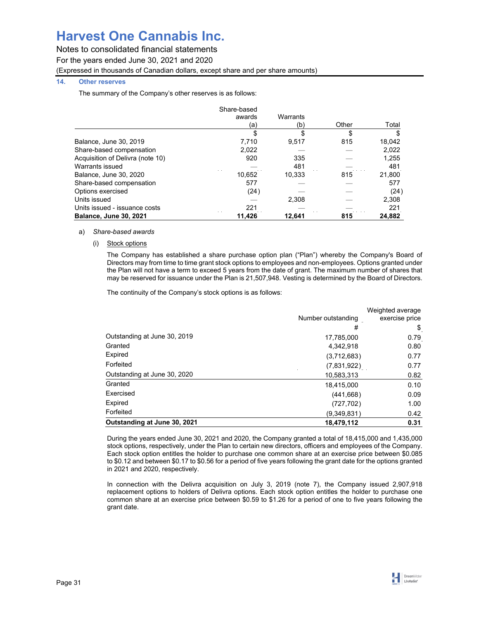Notes to consolidated financial statements

For the years ended June 30, 2021 and 2020

(Expressed in thousands of Canadian dollars, except share and per share amounts)

## **14. Other reserves**

The summary of the Company's other reserves is as follows:

|                                  | Share-based |          |       |        |
|----------------------------------|-------------|----------|-------|--------|
|                                  | awards      | Warrants |       |        |
|                                  | a)          | (b)      | Other | Total  |
|                                  |             | S        | \$    |        |
| Balance, June 30, 2019           | 7.710       | 9.517    | 815   | 18,042 |
| Share-based compensation         | 2,022       |          |       | 2,022  |
| Acquisition of Delivra (note 10) | 920         | 335      |       | 1,255  |
| Warrants issued                  |             | 481      |       | 481    |
| Balance, June 30, 2020           | 10,652      | 10.333   | 815   | 21,800 |
| Share-based compensation         | 577         |          |       | 577    |
| Options exercised                | (24)        |          |       | (24)   |
| Units issued                     |             | 2.308    |       | 2,308  |
| Units issued - issuance costs    | 221         |          |       | 221    |
| <b>Balance, June 30, 2021</b>    | 11.426      | 12.641   | 815   | 24.882 |

## a) *Share-based awards*

(i) Stock options

The Company has established a share purchase option plan ("Plan") whereby the Company's Board of Directors may from time to time grant stock options to employees and non-employees. Options granted under the Plan will not have a term to exceed 5 years from the date of grant. The maximum number of shares that may be reserved for issuance under the Plan is 21,507,948. Vesting is determined by the Board of Directors.

The continuity of the Company's stock options is as follows:

|                              | Number outstanding | Weighted average<br>exercise price |
|------------------------------|--------------------|------------------------------------|
|                              | #                  | \$                                 |
| Outstanding at June 30, 2019 | 17,785,000         | 0.79                               |
| Granted                      | 4,342,918          | 0.80                               |
| Expired                      | (3,712,683)        | 0.77                               |
| Forfeited                    | (7,831,922)        | 0.77                               |
| Outstanding at June 30, 2020 | 10,583,313         | 0.82                               |
| Granted                      | 18,415,000         | 0.10                               |
| Exercised                    | (441, 668)         | 0.09                               |
| Expired                      | (727, 702)         | 1.00                               |
| Forfeited                    | (9,349,831)        | 0.42                               |
| Outstanding at June 30, 2021 | 18,479,112         | 0.31                               |

During the years ended June 30, 2021 and 2020, the Company granted a total of 18,415,000 and 1,435,000 stock options, respectively, under the Plan to certain new directors, officers and employees of the Company. Each stock option entitles the holder to purchase one common share at an exercise price between \$0.085 to \$0.12 and between \$0.17 to \$0.56 for a period of five years following the grant date for the options granted in 2021 and 2020, respectively.

In connection with the Delivra acquisition on July 3, 2019 (note 7), the Company issued 2,907,918 replacement options to holders of Delivra options. Each stock option entitles the holder to purchase one common share at an exercise price between \$0.59 to \$1.26 for a period of one to five years following the grant date.

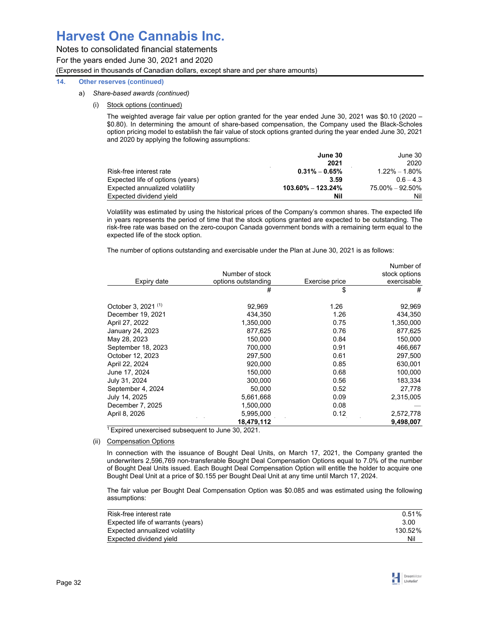Notes to consolidated financial statements For the years ended June 30, 2021 and 2020 (Expressed in thousands of Canadian dollars, except share and per share amounts)

## **14. Other reserves (continued)**

- a) *Share-based awards (continued)* 
	- (i) Stock options (continued)

The weighted average fair value per option granted for the year ended June 30, 2021 was \$0.10 (2020 – \$0.80). In determining the amount of share-based compensation, the Company used the Black-Scholes option pricing model to establish the fair value of stock options granted during the year ended June 30, 2021 and 2020 by applying the following assumptions:

|                                  | June 30               | June 30           |
|----------------------------------|-----------------------|-------------------|
|                                  | 2021                  | 2020              |
| Risk-free interest rate          | $0.31\% - 0.65\%$     | $1.22\% - 1.80\%$ |
| Expected life of options (years) | 3.59                  | $0.6 - 4.3$       |
| Expected annualized volatility   | $103.60\% - 123.24\%$ | 75.00% - 92.50%   |
| Expected dividend vield          | Nil                   | Nil               |

Volatility was estimated by using the historical prices of the Company's common shares. The expected life in years represents the period of time that the stock options granted are expected to be outstanding. The risk-free rate was based on the zero-coupon Canada government bonds with a remaining term equal to the expected life of the stock option.

The number of options outstanding and exercisable under the Plan at June 30, 2021 is as follows:

|                                | 18,479,112          |                | 9,498,007                  |
|--------------------------------|---------------------|----------------|----------------------------|
| April 8, 2026                  | 5,995,000           | 0.12           | 2,572,778                  |
| December 7, 2025               | 1,500,000           | 0.08           |                            |
| July 14, 2025                  | 5,661,668           | 0.09           | 2,315,005                  |
| September 4, 2024              | 50,000              | 0.52           | 27,778                     |
| July 31, 2024                  | 300,000             | 0.56           | 183,334                    |
| June 17, 2024                  | 150,000             | 0.68           | 100,000                    |
| April 22, 2024                 | 920,000             | 0.85           | 630,001                    |
| October 12, 2023               | 297,500             | 0.61           | 297,500                    |
| September 18, 2023             | 700,000             | 0.91           | 466,667                    |
| May 28, 2023                   | 150,000             | 0.84           | 150,000                    |
| January 24, 2023               | 877,625             | 0.76           | 877,625                    |
| April 27, 2022                 | 1,350,000           | 0.75           | 1,350,000                  |
| December 19, 2021              | 434,350             | 1.26           | 434,350                    |
| October 3, 2021 <sup>(1)</sup> | 92.969              | 1.26           | 92,969                     |
|                                | #                   | \$             | #                          |
| Expiry date                    | options outstanding | Exercise price | exercisable                |
|                                | Number of stock     |                | Number of<br>stock options |

 $\frac{1}{1}$  Expired unexercised subsequent to June 30, 2021.

(ii) Compensation Options

In connection with the issuance of Bought Deal Units, on March 17, 2021, the Company granted the underwriters 2,596,769 non-transferable Bought Deal Compensation Options equal to 7.0% of the number of Bought Deal Units issued. Each Bought Deal Compensation Option will entitle the holder to acquire one Bought Deal Unit at a price of \$0.155 per Bought Deal Unit at any time until March 17, 2024.

The fair value per Bought Deal Compensation Option was \$0.085 and was estimated using the following assumptions:

| Risk-free interest rate           | 0.51%   |
|-----------------------------------|---------|
| Expected life of warrants (years) | 3.00    |
| Expected annualized volatility    | 130.52% |
| Expected dividend yield           | Nil     |

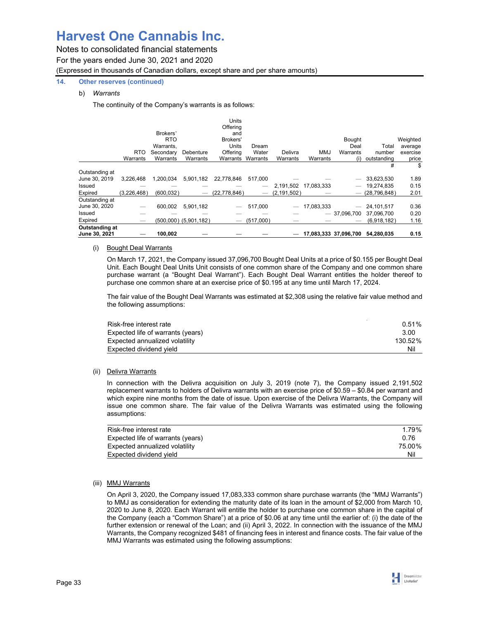Notes to consolidated financial statements

For the years ended June 30, 2021 and 2020 (Expressed in thousands of Canadian dollars, except share and per share amounts)

## **14. Other reserves (continued)**

## b) *Warrants*

The continuity of the Company's warrants is as follows:

|                                 |             | Brokers'<br><b>RTO</b><br>Warrants, |                           | <b>Units</b><br>Offering<br>and<br>Brokers'<br><b>Units</b> | Dream             |               |            | <b>Bought</b><br>Deal | Total          | Weighted<br>average |
|---------------------------------|-------------|-------------------------------------|---------------------------|-------------------------------------------------------------|-------------------|---------------|------------|-----------------------|----------------|---------------------|
|                                 | <b>RTO</b>  | Secondary                           | Debenture                 | Offering                                                    | Water             | Delivra       | <b>MMJ</b> | Warrants              | number         | exercise            |
|                                 | Warrants    | Warrants                            | Warrants                  |                                                             | Warrants Warrants | Warrants      | Warrants   | (i)                   | outstanding    | price               |
| Outstanding at                  |             |                                     |                           |                                                             |                   |               |            |                       | #              | \$                  |
| June 30, 2019                   | 3.226.468   | 1.200.034                           | 5,901,182                 | 22,778,846                                                  | 517.000           |               |            |                       | 33,623,530     | 1.89                |
| Issued                          |             |                                     |                           |                                                             |                   | 2,191,502     | 17.083.333 |                       | 19.274.835     | 0.15                |
| Expired                         | (3.226.468) | (600.032)                           |                           | (22, 778, 846)                                              |                   | (2, 191, 502) |            |                       | (28, 796, 848) | 2.01                |
| Outstanding at<br>June 30, 2020 |             | 600.002                             | 5.901.182                 |                                                             | 517,000           |               | 17,083,333 |                       | 24.101.517     | 0.36                |
| Issued                          |             |                                     |                           |                                                             |                   |               |            | $-37.096.700$         | 37.096.700     | 0.20                |
| Expired                         |             |                                     | $(500,000)$ $(5,901,182)$ |                                                             | $-$ (517,000)     |               |            |                       | (6,918,182)    | 1.16                |
| Outstanding at<br>June 30, 2021 |             | 100.002                             |                           |                                                             |                   |               |            | 17.083.333 37.096.700 | 54.280.035     | 0.15                |

## (i) Bought Deal Warrants

On March 17, 2021, the Company issued 37,096,700 Bought Deal Units at a price of \$0.155 per Bought Deal Unit. Each Bought Deal Units Unit consists of one common share of the Company and one common share purchase warrant (a "Bought Deal Warrant"). Each Bought Deal Warrant entitles the holder thereof to purchase one common share at an exercise price of \$0.195 at any time until March 17, 2024.

The fair value of the Bought Deal Warrants was estimated at \$2,308 using the relative fair value method and the following assumptions:

| Risk-free interest rate           | 0.51%   |
|-----------------------------------|---------|
| Expected life of warrants (years) | 3.00    |
| Expected annualized volatility    | 130.52% |
| Expected dividend vield           | Nil     |

## (ii) Delivra Warrants

In connection with the Delivra acquisition on July 3, 2019 (note 7), the Company issued 2,191,502 replacement warrants to holders of Delivra warrants with an exercise price of \$0.59 – \$0.84 per warrant and which expire nine months from the date of issue. Upon exercise of the Delivra Warrants, the Company will issue one common share. The fair value of the Delivra Warrants was estimated using the following assumptions:

| Risk-free interest rate           | 1.79%  |
|-----------------------------------|--------|
| Expected life of warrants (years) | 0.76   |
| Expected annualized volatility    | 75.00% |
| Expected dividend vield           | Nil    |

## (iii) MMJ Warrants

On April 3, 2020, the Company issued 17,083,333 common share purchase warrants (the "MMJ Warrants") to MMJ as consideration for extending the maturity date of its loan in the amount of \$2,000 from March 10, 2020 to June 8, 2020. Each Warrant will entitle the holder to purchase one common share in the capital of the Company (each a "Common Share") at a price of \$0.06 at any time until the earlier of: (i) the date of the further extension or renewal of the Loan; and (ii) April 3, 2022. In connection with the issuance of the MMJ Warrants, the Company recognized \$481 of financing fees in interest and finance costs. The fair value of the MMJ Warrants was estimated using the following assumptions:

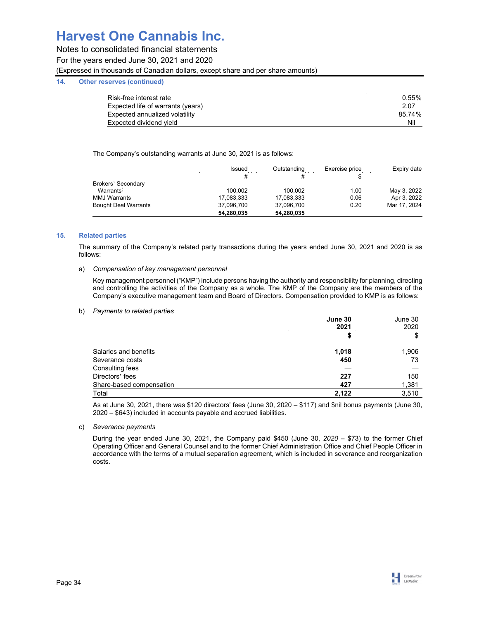## Notes to consolidated financial statements

For the years ended June 30, 2021 and 2020

(Expressed in thousands of Canadian dollars, except share and per share amounts)

## **14. Other reserves (continued)**

| $0.55\%$ |
|----------|
| 2.07     |
| 85.74%   |
| Nil      |
|          |

The Company's outstanding warrants at June 30, 2021 is as follows:

|                             | Issued<br># | Outstanding<br># | Exercise price | Expiry date  |
|-----------------------------|-------------|------------------|----------------|--------------|
| Brokers' Secondary          |             |                  |                |              |
| Warrants <sup>(</sup>       | 100.002     | 100.002          | 1.00           | May 3, 2022  |
| <b>MMJ Warrants</b>         | 17,083,333  | 17,083,333       | 0.06           | Apr 3, 2022  |
| <b>Bought Deal Warrants</b> | 37,096,700  | 37,096,700       | 0.20           | Mar 17, 2024 |
|                             | 54,280,035  | 54,280,035       |                |              |

## **15. Related parties**

The summary of the Company's related party transactions during the years ended June 30, 2021 and 2020 is as follows:

## a) *Compensation of key management personnel*

Key management personnel ("KMP") include persons having the authority and responsibility for planning, directing and controlling the activities of the Company as a whole. The KMP of the Company are the members of the Company's executive management team and Board of Directors. Compensation provided to KMP is as follows:

### b) *Payments to related parties*

|                          | June 30              | June 30 |
|--------------------------|----------------------|---------|
|                          | 2021                 | 2020    |
|                          | \$                   | \$      |
| Salaries and benefits    | 1,018                | 1,906   |
| Severance costs          | 450                  | 73      |
| Consulting fees          |                      |         |
| Directors' fees          | 227                  | 150     |
| Share-based compensation | 427<br>$\sim$ $\sim$ | 1,381   |
| Total                    | 2.122                | 3,510   |

As at June 30, 2021, there was \$120 directors' fees (June 30, 2020 – \$117) and \$nil bonus payments (June 30, 2020 – \$643) included in accounts payable and accrued liabilities.

## c) *Severance payments*

During the year ended June 30, 2021, the Company paid \$450 (June 30, *2020 –* \$73) to the former Chief Operating Officer and General Counsel and to the former Chief Administration Office and Chief People Officer in accordance with the terms of a mutual separation agreement, which is included in severance and reorganization costs.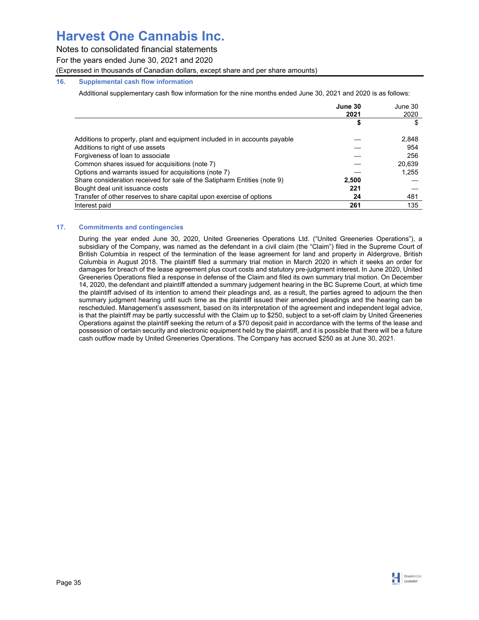Notes to consolidated financial statements

For the years ended June 30, 2021 and 2020

(Expressed in thousands of Canadian dollars, except share and per share amounts)

## **16. Supplemental cash flow information**

Additional supplementary cash flow information for the nine months ended June 30, 2021 and 2020 is as follows:

|                                                                            | June 30<br>2021 | June 30<br>2020 |
|----------------------------------------------------------------------------|-----------------|-----------------|
|                                                                            |                 |                 |
| Additions to property, plant and equipment included in in accounts payable |                 | 2,848           |
| Additions to right of use assets                                           |                 | 954             |
| Forgiveness of loan to associate                                           |                 | 256             |
| Common shares issued for acquisitions (note 7)                             |                 | 20.639          |
| Options and warrants issued for acquisitions (note 7)                      |                 | 1,255           |
| Share consideration received for sale of the Satipharm Entities (note 9)   | 2,500           |                 |
| Bought deal unit issuance costs                                            | 221             |                 |
| Transfer of other reserves to share capital upon exercise of options       | 24              | 481             |
| Interest paid                                                              | 261             | 135             |

## **17. Commitments and contingencies**

During the year ended June 30, 2020, United Greeneries Operations Ltd. ("United Greeneries Operations"), a subsidiary of the Company, was named as the defendant in a civil claim (the "Claim") filed in the Supreme Court of British Columbia in respect of the termination of the lease agreement for land and property in Aldergrove, British Columbia in August 2018. The plaintiff filed a summary trial motion in March 2020 in which it seeks an order for damages for breach of the lease agreement plus court costs and statutory pre-judgment interest. In June 2020, United Greeneries Operations filed a response in defense of the Claim and filed its own summary trial motion. On December 14, 2020, the defendant and plaintiff attended a summary judgement hearing in the BC Supreme Court, at which time the plaintiff advised of its intention to amend their pleadings and, as a result, the parties agreed to adjourn the then summary judgment hearing until such time as the plaintiff issued their amended pleadings and the hearing can be rescheduled. Management's assessment, based on its interpretation of the agreement and independent legal advice, is that the plaintiff may be partly successful with the Claim up to \$250, subject to a set-off claim by United Greeneries Operations against the plaintiff seeking the return of a \$70 deposit paid in accordance with the terms of the lease and possession of certain security and electronic equipment held by the plaintiff, and it is possible that there will be a future cash outflow made by United Greeneries Operations. The Company has accrued \$250 as at June 30, 2021.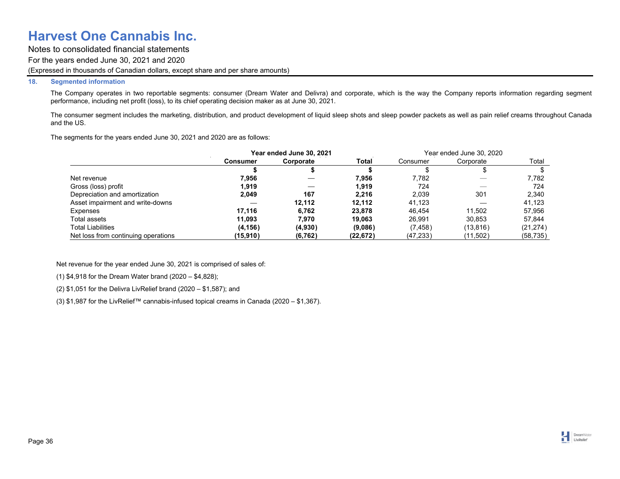Notes to consolidated financial statements For the years ended June 30, 2021 and 2020 (Expressed in thousands of Canadian dollars, except share and per share amounts)

### **18. Segmented information**

The Company operates in two reportable segments: consumer (Dream Water and Delivra) and corporate, which is the way the Company reports information regarding segment performance, including net profit (loss), to its chief operating decision maker as at June 30, 2021.

The consumer segment includes the marketing, distribution, and product development of liquid sleep shots and sleep powder packets as well as pain relief creams throughout Canada and the US.

The segments for the years ended June 30, 2021 and 2020 are as follows:

|                                     | Year ended June 30, 2021<br><b>Service</b> |           |           | Year ended June 30, 2020 |           |           |
|-------------------------------------|--------------------------------------------|-----------|-----------|--------------------------|-----------|-----------|
|                                     | Consumer                                   | Corporate | Total     | Consumer                 | Corporate | Total     |
|                                     |                                            |           |           |                          |           |           |
| Net revenue                         | 7.956                                      |           | 7.956     | 7.782                    | __        | 7.782     |
| Gross (loss) profit                 | 1.919                                      |           | 1.919     | 724                      |           | 724       |
| Depreciation and amortization       | 2.049                                      | 167       | 2.216     | 2.039                    | 301       | 2,340     |
| Asset impairment and write-downs    |                                            | 12.112    | 12.112    | 41.123                   | —         | 41.123    |
| Expenses                            | 17.116                                     | 6.762     | 23.878    | 46.454                   | 11.502    | 57.956    |
| Total assets                        | 11.093                                     | 7.970     | 19.063    | 26.991                   | 30.853    | 57.844    |
| Total Liabilities                   | (4, 156)                                   | (4,930)   | (9,086)   | (7, 458)                 | (13, 816) | (21, 274) |
| Net loss from continuing operations | (15,910)                                   | (6, 762)  | (22, 672) | (47, 233)                | (11,502)  | (58, 735) |

Net revenue for the year ended June 30, 2021 is comprised of sales of:

(1) \$4,918 for the Dream Water brand (2020 – \$4,828);

(2) \$1,051 for the Delivra LivRelief brand (2020 – \$1,587); and

(3) \$1,987 for the LivRelief™ cannabis-infused topical creams in Canada (2020 – \$1,367).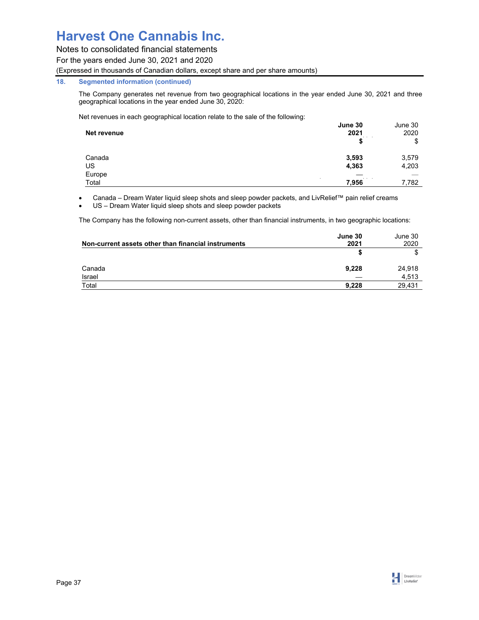Notes to consolidated financial statements

For the years ended June 30, 2021 and 2020

(Expressed in thousands of Canadian dollars, except share and per share amounts)

## **18. Segmented information (continued)**

The Company generates net revenue from two geographical locations in the year ended June 30, 2021 and three geographical locations in the year ended June 30, 2020:

Net revenues in each geographical location relate to the sale of the following:

|             | June 30 | June 30 |
|-------------|---------|---------|
| Net revenue | 2021    | 2020    |
|             |         | \$      |
| Canada      | 3,593   | 3,579   |
| US          | 4,363   | 4,203   |
| Europe      |         |         |
| Total       | 7,956   | 7,782   |

Canada – Dream Water liquid sleep shots and sleep powder packets, and LivRelief™ pain relief creams

US – Dream Water liquid sleep shots and sleep powder packets

The Company has the following non-current assets, other than financial instruments, in two geographic locations:

| Non-current assets other than financial instruments | June 30<br>2021 | June 30<br>2020 |
|-----------------------------------------------------|-----------------|-----------------|
|                                                     |                 |                 |
| Canada                                              | 9.228           | 24,918          |
| Israel                                              |                 | 4,513           |
| Total                                               | 9.228           | 29.431          |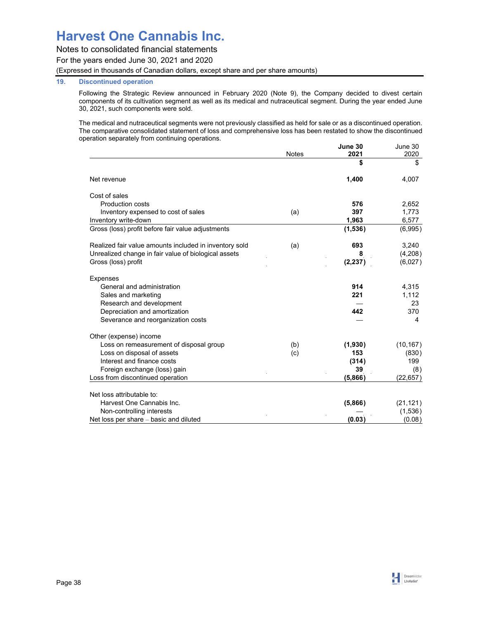Notes to consolidated financial statements

For the years ended June 30, 2021 and 2020

(Expressed in thousands of Canadian dollars, except share and per share amounts)

## **19. Discontinued operation**

Following the Strategic Review announced in February 2020 (Note 9), the Company decided to divest certain components of its cultivation segment as well as its medical and nutraceutical segment. During the year ended June 30, 2021, such components were sold.

The medical and nutraceutical segments were not previously classified as held for sale or as a discontinued operation. The comparative consolidated statement of loss and comprehensive loss has been restated to show the discontinued operation separately from continuing operations. **June 30**  June 30

|                                                        | <b>Notes</b> | June 30<br>2021 | June 30<br>2020 |
|--------------------------------------------------------|--------------|-----------------|-----------------|
|                                                        |              | \$              | \$              |
| Net revenue                                            |              | 1,400           | 4,007           |
| Cost of sales                                          |              |                 |                 |
| <b>Production costs</b>                                |              | 576             | 2,652           |
| Inventory expensed to cost of sales                    | (a)          | 397             | 1,773           |
| Inventory write-down                                   |              | 1,963           | 6,577           |
| Gross (loss) profit before fair value adjustments      |              | (1,536)         | (6,995)         |
| Realized fair value amounts included in inventory sold | (a)          | 693             | 3,240           |
| Unrealized change in fair value of biological assets   |              | 8               | (4,208)         |
| Gross (loss) profit                                    |              | (2, 237)        | (6,027)         |
| <b>Expenses</b>                                        |              |                 |                 |
| General and administration                             |              | 914             | 4,315           |
| Sales and marketing                                    |              | 221             | 1,112           |
| Research and development                               |              |                 | 23              |
| Depreciation and amortization                          |              | 442             | 370             |
| Severance and reorganization costs                     |              |                 | 4               |
| Other (expense) income                                 |              |                 |                 |
| Loss on remeasurement of disposal group                | (b)          | (1,930)         | (10, 167)       |
| Loss on disposal of assets                             | (c)          | 153             | (830)           |
| Interest and finance costs                             |              | (314)           | 199             |
| Foreign exchange (loss) gain                           |              | 39              | (8)             |
| Loss from discontinued operation                       |              | (5,866)         | (22, 657)       |
| Net loss attributable to:                              |              |                 |                 |
| Harvest One Cannabis Inc.                              |              | (5,866)         | (21, 121)       |
| Non-controlling interests                              |              |                 | (1,536)         |
| Net loss per share - basic and diluted                 |              | (0.03)          | (0.08)          |

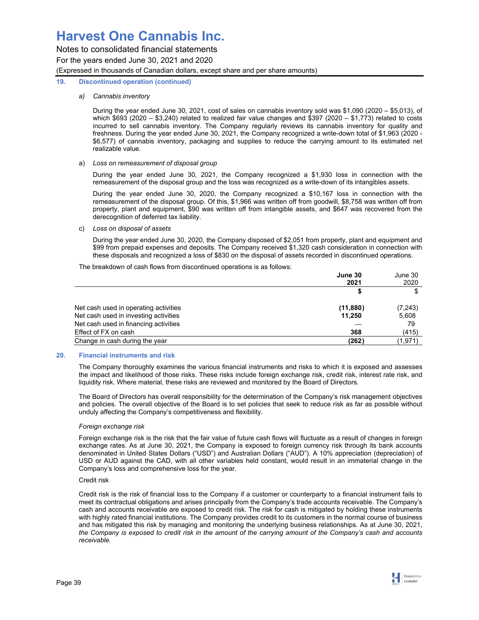Notes to consolidated financial statements For the years ended June 30, 2021 and 2020 (Expressed in thousands of Canadian dollars, except share and per share amounts)

### **19. Discontinued operation (continued)**

## *a) Cannabis inventory*

During the year ended June 30, 2021, cost of sales on cannabis inventory sold was \$1,090 (2020 – \$5,013), of which \$693 (2020 – \$3,240) related to realized fair value changes and \$397 (2020 – \$1,773) related to costs incurred to sell cannabis inventory. The Company regularly reviews its cannabis inventory for quality and freshness. During the year ended June 30, 2021, the Company recognized a write-down total of \$1,963 (2020 - \$6,577) of cannabis inventory, packaging and supplies to reduce the carrying amount to its estimated net realizable value.

### a) *Loss on remeasurement of disposal group*

During the year ended June 30, 2021, the Company recognized a \$1,930 loss in connection with the remeasurement of the disposal group and the loss was recognized as a write-down of its intangibles assets.

During the year ended June 30, 2020, the Company recognized a \$10,167 loss in connection with the remeasurement of the disposal group. Of this, \$1,966 was written off from goodwill, \$8,758 was written off from property, plant and equipment, \$90 was written off from intangible assets, and \$647 was recovered from the derecognition of deferred tax liability.

## c) *Loss on disposal of assets*

 During the year ended June 30, 2020, the Company disposed of \$2,051 from property, plant and equipment and \$99 from prepaid expenses and deposits. The Company received \$1,320 cash consideration in connection with these disposals and recognized a loss of \$830 on the disposal of assets recorded in discontinued operations.

The breakdown of cash flows from discontinued operations is as follows:

|                                       | June 30   | June 30  |
|---------------------------------------|-----------|----------|
|                                       | 2021      | 2020     |
|                                       |           | \$       |
| Net cash used in operating activities | (11, 880) | (7, 243) |
| Net cash used in investing activities | 11.250    | 5,608    |
| Net cash used in financing activities |           | 79       |
| Effect of FX on cash                  | 368       | (415)    |
| Change in cash during the year        | (262`     | (1,971)  |

## **20. Financial instruments and risk**

The Company thoroughly examines the various financial instruments and risks to which it is exposed and assesses the impact and likelihood of those risks. These risks include foreign exchange risk, credit risk, interest rate risk, and liquidity risk. Where material, these risks are reviewed and monitored by the Board of Directors.

The Board of Directors has overall responsibility for the determination of the Company's risk management objectives and policies. The overall objective of the Board is to set policies that seek to reduce risk as far as possible without unduly affecting the Company's competitiveness and flexibility.

## *Foreign exchange risk*

Foreign exchange risk is the risk that the fair value of future cash flows will fluctuate as a result of changes in foreign exchange rates. As at June 30, 2021, the Company is exposed to foreign currency risk through its bank accounts denominated in United States Dollars ("USD") and Australian Dollars ("AUD"). A 10% appreciation (depreciation) of USD or AUD against the CAD, with all other variables held constant, would result in an immaterial change in the Company's loss and comprehensive loss for the year.

## Credit risk

Credit risk is the risk of financial loss to the Company if a customer or counterparty to a financial instrument fails to meet its contractual obligations and arises principally from the Company's trade accounts receivable. The Company's cash and accounts receivable are exposed to credit risk. The risk for cash is mitigated by holding these instruments with highly rated financial institutions. The Company provides credit to its customers in the normal course of business and has mitigated this risk by managing and monitoring the underlying business relationships. As at June 30, 2021, *the Company is exposed to credit risk in the amount of the carrying amount of the Company's cash and accounts receivable.*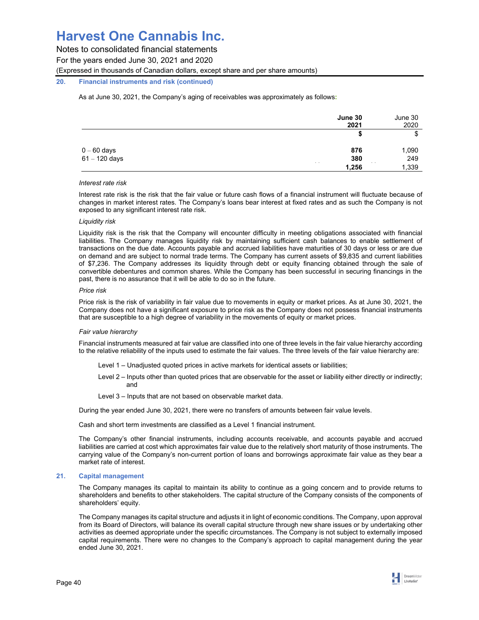Notes to consolidated financial statements

For the years ended June 30, 2021 and 2020

(Expressed in thousands of Canadian dollars, except share and per share amounts)

## **20. Financial instruments and risk (continued)**

As at June 30, 2021, the Company's aging of receivables was approximately as follows**:** 

|                 | June 30<br>2021<br>All Car | June 30<br>2020 |
|-----------------|----------------------------|-----------------|
|                 | S                          | \$              |
| $0 - 60$ days   | 876                        | 1,090           |
| $61 - 120$ days | 380                        | 249             |
|                 | 1,256                      | 1,339           |

#### *Interest rate risk*

Interest rate risk is the risk that the fair value or future cash flows of a financial instrument will fluctuate because of changes in market interest rates. The Company's loans bear interest at fixed rates and as such the Company is not exposed to any significant interest rate risk.

#### *Liquidity risk*

Liquidity risk is the risk that the Company will encounter difficulty in meeting obligations associated with financial liabilities. The Company manages liquidity risk by maintaining sufficient cash balances to enable settlement of transactions on the due date. Accounts payable and accrued liabilities have maturities of 30 days or less or are due on demand and are subject to normal trade terms. The Company has current assets of \$9,835 and current liabilities of \$7,236. The Company addresses its liquidity through debt or equity financing obtained through the sale of convertible debentures and common shares. While the Company has been successful in securing financings in the past, there is no assurance that it will be able to do so in the future.

#### *Price risk*

Price risk is the risk of variability in fair value due to movements in equity or market prices. As at June 30, 2021, the Company does not have a significant exposure to price risk as the Company does not possess financial instruments that are susceptible to a high degree of variability in the movements of equity or market prices.

### *Fair value hierarchy*

Financial instruments measured at fair value are classified into one of three levels in the fair value hierarchy according to the relative reliability of the inputs used to estimate the fair values. The three levels of the fair value hierarchy are:

- Level 1 Unadjusted quoted prices in active markets for identical assets or liabilities;
- Level 2 Inputs other than quoted prices that are observable for the asset or liability either directly or indirectly; and
- Level 3 Inputs that are not based on observable market data.

During the year ended June 30, 2021, there were no transfers of amounts between fair value levels.

Cash and short term investments are classified as a Level 1 financial instrument.

The Company's other financial instruments, including accounts receivable, and accounts payable and accrued liabilities are carried at cost which approximates fair value due to the relatively short maturity of those instruments. The carrying value of the Company's non-current portion of loans and borrowings approximate fair value as they bear a market rate of interest.

### **21. Capital management**

The Company manages its capital to maintain its ability to continue as a going concern and to provide returns to shareholders and benefits to other stakeholders. The capital structure of the Company consists of the components of shareholders' equity.

The Company manages its capital structure and adjusts it in light of economic conditions. The Company, upon approval from its Board of Directors, will balance its overall capital structure through new share issues or by undertaking other activities as deemed appropriate under the specific circumstances. The Company is not subject to externally imposed capital requirements. There were no changes to the Company's approach to capital management during the year ended June 30, 2021.

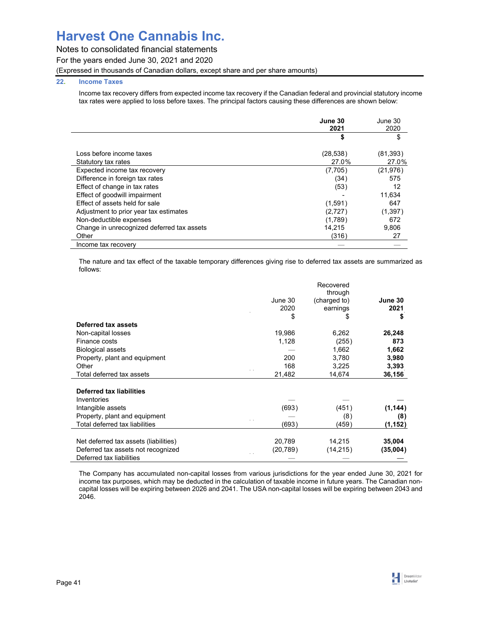## Notes to consolidated financial statements

For the years ended June 30, 2021 and 2020

(Expressed in thousands of Canadian dollars, except share and per share amounts)

## **22. Income Taxes**

Income tax recovery differs from expected income tax recovery if the Canadian federal and provincial statutory income tax rates were applied to loss before taxes. The principal factors causing these differences are shown below:

|                                            | June 30<br>2021 | June 30<br>2020<br>\$ |
|--------------------------------------------|-----------------|-----------------------|
|                                            |                 |                       |
| Loss before income taxes                   | (28, 538)       | (81, 393)             |
| Statutory tax rates                        | 27.0%           | 27.0%                 |
| Expected income tax recovery               | (7,705)         | (21, 976)             |
| Difference in foreign tax rates            | (34)            | 575                   |
| Effect of change in tax rates              | (53)            | 12                    |
| Effect of goodwill impairment              |                 | 11.634                |
| Effect of assets held for sale             | (1,591)         | 647                   |
| Adjustment to prior year tax estimates     | (2,727)         | (1,397)               |
| Non-deductible expenses                    | (1,789)         | 672                   |
| Change in unrecognized deferred tax assets | 14.215          | 9,806                 |
| Other                                      | (316)           | 27                    |
| Income tax recovery                        |                 |                       |

The nature and tax effect of the taxable temporary differences giving rise to deferred tax assets are summarized as follows:

|                                       |          | Recovered<br>through |          |
|---------------------------------------|----------|----------------------|----------|
|                                       | June 30  | (charged to)         | June 30  |
|                                       | 2020     | earnings             | 2021     |
|                                       | \$       | \$                   | \$       |
| Deferred tax assets                   |          |                      |          |
| Non-capital losses                    | 19,986   | 6,262                | 26,248   |
| Finance costs                         | 1,128    | (255)                | 873      |
| <b>Biological assets</b>              |          | 1,662                | 1,662    |
| Property, plant and equipment         | 200      | 3,780                | 3,980    |
| Other                                 | 168      | 3,225                | 3,393    |
| Total deferred tax assets             | 21,482   | 14,674               | 36,156   |
| <b>Deferred tax liabilities</b>       |          |                      |          |
| Inventories                           |          |                      |          |
| Intangible assets                     | (693)    | (451)                | (1, 144) |
| Property, plant and equipment         |          | (8)                  | (8)      |
| Total deferred tax liabilities        | (693)    | (459)                | (1, 152) |
|                                       |          |                      |          |
| Net deferred tax assets (liabilities) | 20,789   | 14,215               | 35,004   |
| Deferred tax assets not recognized    | (20,789) | (14, 215)            | (35,004) |
| Deferred tax liabilities              |          |                      |          |

The Company has accumulated non-capital losses from various jurisdictions for the year ended June 30, 2021 for income tax purposes, which may be deducted in the calculation of taxable income in future years. The Canadian noncapital losses will be expiring between 2026 and 2041. The USA non-capital losses will be expiring between 2043 and 2046.